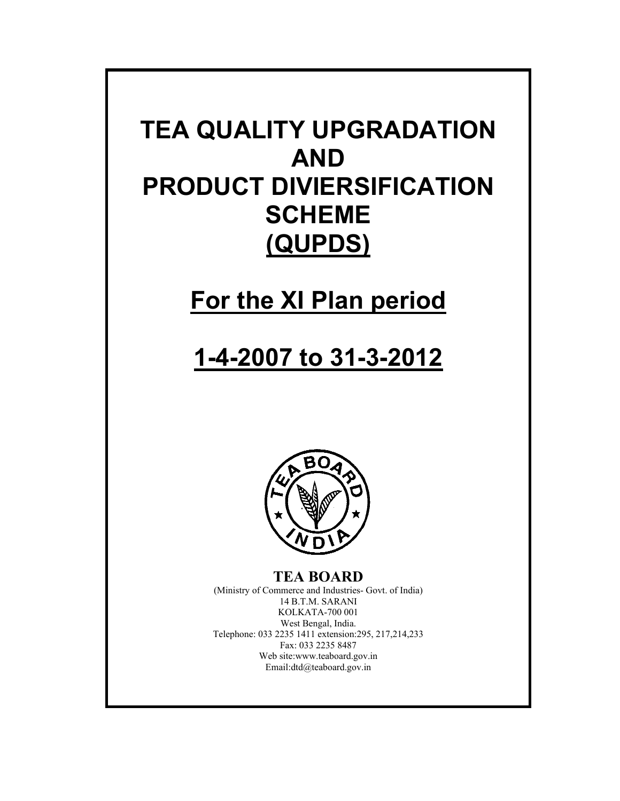# **TEA QUALITY UPGRADATION AND PRODUCT DIVIERSIFICATION SCHEME (QUPDS)**

# **For the XI Plan period**

# **1-4-2007 to 31-3-2012**



**TEA BOARD**  (Ministry of Commerce and Industries- Govt. of India) 14 B.T.M. SARANI KOLKATA-700 001 West Bengal, India. Telephone: 033 2235 1411 extension:295, 217,214,233 Fax: 033 2235 8487 Web site:www.teaboard.gov.in Email:dtd@teaboard.gov.in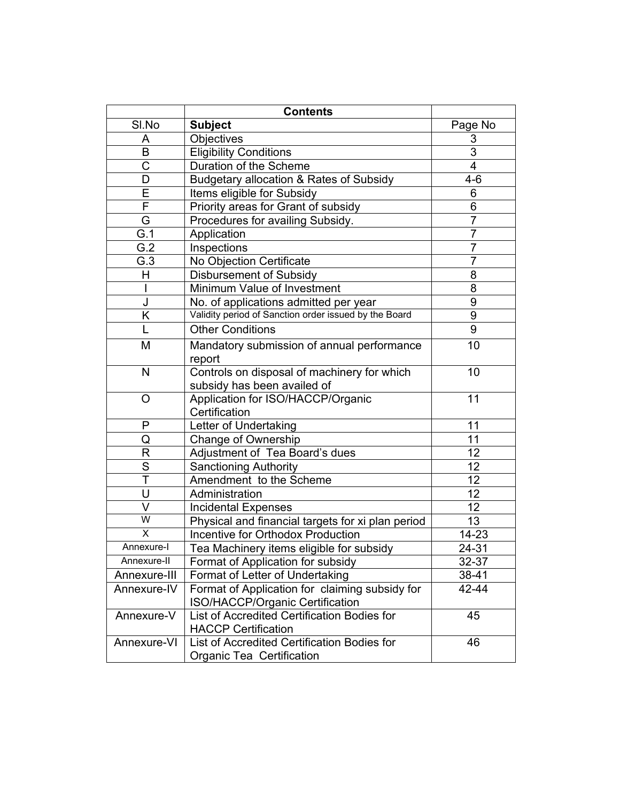|                         | <b>Contents</b>                                                                   |                 |
|-------------------------|-----------------------------------------------------------------------------------|-----------------|
| SI.No                   | <b>Subject</b>                                                                    | Page No         |
| A                       | <b>Objectives</b>                                                                 | 3               |
| B                       | <b>Eligibility Conditions</b>                                                     | $\overline{3}$  |
| С                       | Duration of the Scheme                                                            | 4               |
| D                       | Budgetary allocation & Rates of Subsidy                                           | $4 - 6$         |
| E                       | Items eligible for Subsidy                                                        | 6               |
| F                       | Priority areas for Grant of subsidy                                               | 6               |
| G                       | Procedures for availing Subsidy.                                                  | $\overline{7}$  |
| G.1                     | Application                                                                       | $\overline{7}$  |
| $\overline{G.2}$        | Inspections                                                                       | $\overline{7}$  |
| G.3                     | No Objection Certificate                                                          | $\overline{7}$  |
| Η                       | <b>Disbursement of Subsidy</b>                                                    | 8               |
|                         | Minimum Value of Investment                                                       | 8               |
| J                       | No. of applications admitted per year                                             | 9               |
| Κ                       | Validity period of Sanction order issued by the Board                             | 9               |
| L                       | <b>Other Conditions</b>                                                           | 9               |
| M                       | Mandatory submission of annual performance                                        | 10              |
|                         | report                                                                            |                 |
| N                       | Controls on disposal of machinery for which<br>subsidy has been availed of        | 10              |
| O                       | Application for ISO/HACCP/Organic                                                 | 11              |
|                         | Certification                                                                     |                 |
| P                       | Letter of Undertaking                                                             | 11              |
| Q                       | Change of Ownership                                                               | 11              |
| R                       | Adjustment of Tea Board's dues                                                    | 12              |
| S                       | <b>Sanctioning Authority</b>                                                      | 12              |
| Ŧ                       | Amendment to the Scheme                                                           | 12              |
| U                       | Administration                                                                    | 12              |
| V                       | <b>Incidental Expenses</b>                                                        | $\overline{12}$ |
| W                       | Physical and financial targets for xi plan period                                 | 13              |
| $\overline{\mathsf{x}}$ | <b>Incentive for Orthodox Production</b>                                          | $14 - 23$       |
| Annexure-I              | Tea Machinery items eligible for subsidy                                          | $24 - 31$       |
| Annexure-II             | Format of Application for subsidy                                                 | 32-37           |
| Annexure-III            | Format of Letter of Undertaking                                                   | 38-41           |
| Annexure-IV             | Format of Application for claiming subsidy for<br>ISO/HACCP/Organic Certification | 42-44           |
| Annexure-V              | List of Accredited Certification Bodies for                                       | 45              |
|                         | <b>HACCP Certification</b>                                                        |                 |
| Annexure-VI             | List of Accredited Certification Bodies for<br>Organic Tea Certification          | 46              |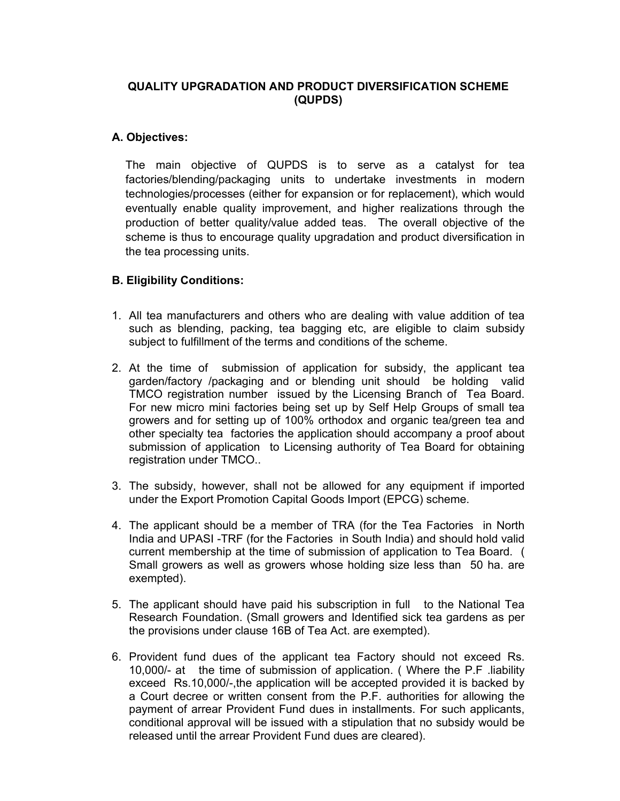# **QUALITY UPGRADATION AND PRODUCT DIVERSIFICATION SCHEME (QUPDS)**

# **A. Objectives:**

The main objective of QUPDS is to serve as a catalyst for tea factories/blending/packaging units to undertake investments in modern technologies/processes (either for expansion or for replacement), which would eventually enable quality improvement, and higher realizations through the production of better quality/value added teas. The overall objective of the scheme is thus to encourage quality upgradation and product diversification in the tea processing units.

# **B. Eligibility Conditions:**

- 1. All tea manufacturers and others who are dealing with value addition of tea such as blending, packing, tea bagging etc, are eligible to claim subsidy subject to fulfillment of the terms and conditions of the scheme.
- 2. At the time of submission of application for subsidy, the applicant tea garden/factory /packaging and or blending unit should be holding valid TMCO registration number issued by the Licensing Branch of Tea Board. For new micro mini factories being set up by Self Help Groups of small tea growers and for setting up of 100% orthodox and organic tea/green tea and other specialty tea factories the application should accompany a proof about submission of application to Licensing authority of Tea Board for obtaining registration under TMCO..
- 3. The subsidy, however, shall not be allowed for any equipment if imported under the Export Promotion Capital Goods Import (EPCG) scheme.
- 4. The applicant should be a member of TRA (for the Tea Factories in North India and UPASI -TRF (for the Factories in South India) and should hold valid current membership at the time of submission of application to Tea Board. ( Small growers as well as growers whose holding size less than 50 ha. are exempted).
- 5. The applicant should have paid his subscription in full to the National Tea Research Foundation. (Small growers and Identified sick tea gardens as per the provisions under clause 16B of Tea Act. are exempted).
- 6. Provident fund dues of the applicant tea Factory should not exceed Rs. 10,000/- at the time of submission of application. ( Where the P.F .liability exceed Rs.10,000/-,the application will be accepted provided it is backed by a Court decree or written consent from the P.F. authorities for allowing the payment of arrear Provident Fund dues in installments. For such applicants, conditional approval will be issued with a stipulation that no subsidy would be released until the arrear Provident Fund dues are cleared).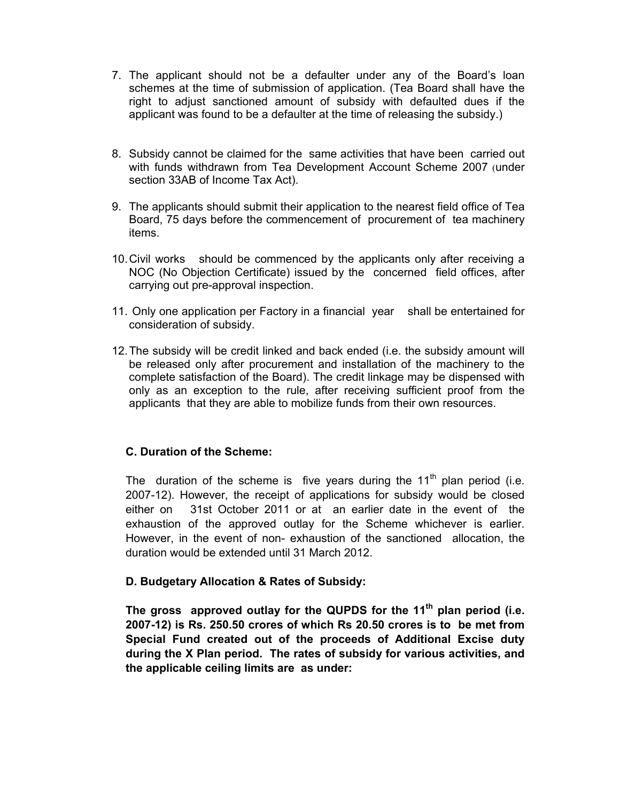- 7. The applicant should not be a defaulter under any of the Board's loan schemes at the time of submission of application. (Tea Board shall have the right to adjust sanctioned amount of subsidy with defaulted dues if the applicant was found to be a defaulter at the time of releasing the subsidy.)
- 8. Subsidy cannot be claimed for the same activities that have been carried out with funds withdrawn from Tea Development Account Scheme 2007 (under section 33AB of Income Tax Act).
- 9. The applicants should submit their application to the nearest field office of Tea Board, 75 days before the commencement of procurement of tea machinery items.
- 10. Civil works should be commenced by the applicants only after receiving a NOC (No Objection Certificate) issued by the concerned field offices, after carrying out pre-approval inspection.
- 11. Only one application per Factory in a financial year shall be entertained for consideration of subsidy.
- 12. The subsidy will be credit linked and back ended (i.e. the subsidy amount will be released only after procurement and installation of the machinery to the complete satisfaction of the Board). The credit linkage may be dispensed with only as an exception to the rule, after receiving sufficient proof from the applicants that they are able to mobilize funds from their own resources.

# **C. Duration of the Scheme:**

The duration of the scheme is five years during the  $11<sup>th</sup>$  plan period (i.e. 2007-12). However, the receipt of applications for subsidy would be closed either on 31st October 2011 or at an earlier date in the event of the exhaustion of the approved outlay for the Scheme whichever is earlier. However, in the event of non- exhaustion of the sanctioned allocation, the duration would be extended until 31 March 2012.

# **D. Budgetary Allocation & Rates of Subsidy:**

The gross approved outlay for the QUPDS for the 11<sup>th</sup> plan period (i.e. **2007-12) is Rs. 250.50 crores of which Rs 20.50 crores is to be met from Special Fund created out of the proceeds of Additional Excise duty during the X Plan period. The rates of subsidy for various activities, and the applicable ceiling limits are as under:**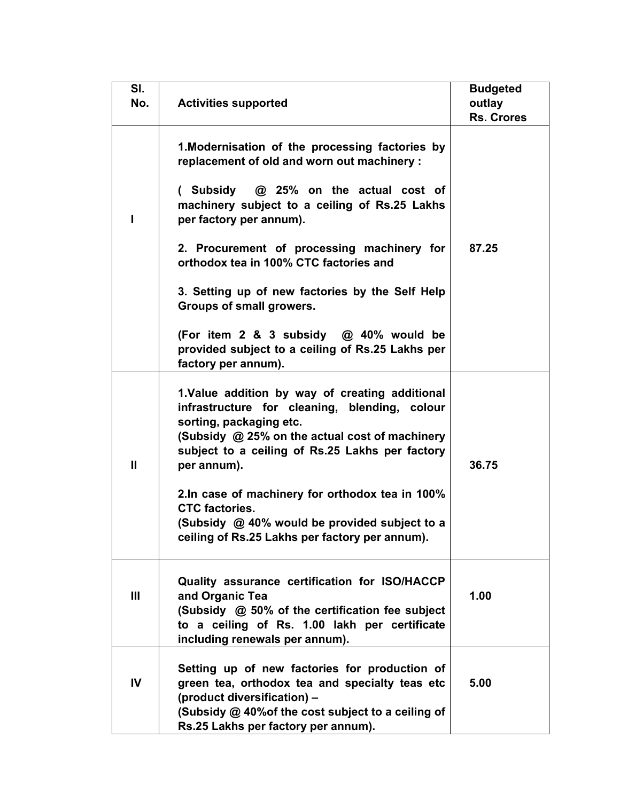| SI.<br>No.   | <b>Activities supported</b>                                                                                                                                                                                                 | <b>Budgeted</b><br>outlay<br><b>Rs. Crores</b> |
|--------------|-----------------------------------------------------------------------------------------------------------------------------------------------------------------------------------------------------------------------------|------------------------------------------------|
|              | 1. Modernisation of the processing factories by<br>replacement of old and worn out machinery :<br>(Subsidy $\omega$ 25% on the actual cost of                                                                               |                                                |
| ı            | machinery subject to a ceiling of Rs.25 Lakhs<br>per factory per annum).                                                                                                                                                    |                                                |
|              | 2. Procurement of processing machinery for<br>orthodox tea in 100% CTC factories and                                                                                                                                        | 87.25                                          |
|              | 3. Setting up of new factories by the Self Help<br>Groups of small growers.                                                                                                                                                 |                                                |
|              | (For item 2 & 3 subsidy @ 40% would be<br>provided subject to a ceiling of Rs.25 Lakhs per<br>factory per annum).                                                                                                           |                                                |
|              | 1.Value addition by way of creating additional<br>infrastructure for cleaning, blending, colour<br>sorting, packaging etc.                                                                                                  |                                                |
| $\mathbf{H}$ | (Subsidy @ 25% on the actual cost of machinery<br>subject to a ceiling of Rs.25 Lakhs per factory<br>per annum).                                                                                                            | 36.75                                          |
|              | 2.In case of machinery for orthodox tea in 100%<br><b>CTC</b> factories.<br>(Subsidy @ 40% would be provided subject to a<br>ceiling of Rs.25 Lakhs per factory per annum).                                                 |                                                |
| Ш            | Quality assurance certification for ISO/HACCP<br>and Organic Tea<br>(Subsidy @ 50% of the certification fee subject<br>to a ceiling of Rs. 1.00 lakh per certificate<br>including renewals per annum).                      | 1.00                                           |
| IV           | Setting up of new factories for production of<br>green tea, orthodox tea and specialty teas etc<br>(product diversification) -<br>(Subsidy @ 40% of the cost subject to a ceiling of<br>Rs.25 Lakhs per factory per annum). | 5.00                                           |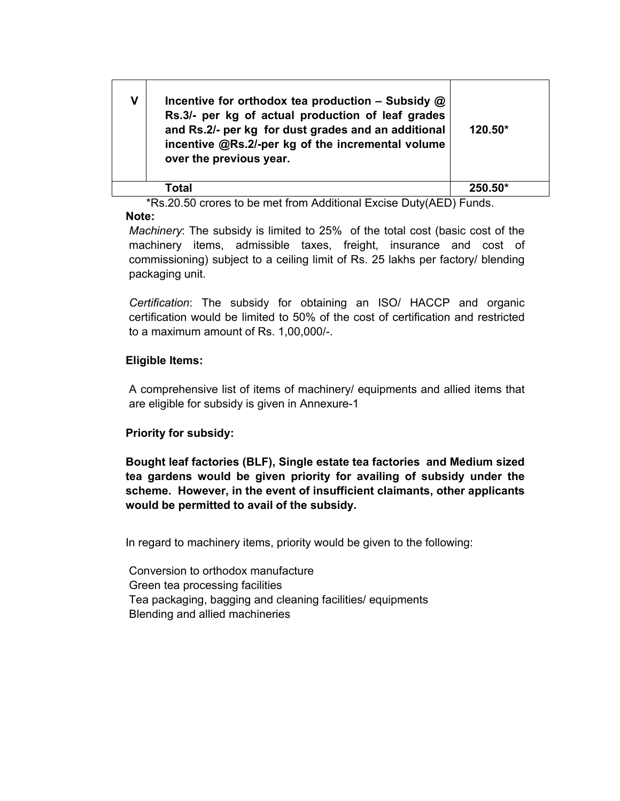| ۷ | Incentive for orthodox tea production – Subsidy $\omega$<br>Rs.3/- per kg of actual production of leaf grades<br>and Rs.2/- per kg for dust grades and an additional<br>incentive @Rs.2/-per kg of the incremental volume<br>over the previous year. | $120.50*$ |
|---|------------------------------------------------------------------------------------------------------------------------------------------------------------------------------------------------------------------------------------------------------|-----------|
|   | Total                                                                                                                                                                                                                                                | $250.50*$ |

 \*Rs.20.50 crores to be met from Additional Excise Duty(AED) Funds. **Note:** 

*Machinery*: The subsidy is limited to 25% of the total cost (basic cost of the machinery items, admissible taxes, freight, insurance and cost of commissioning) subject to a ceiling limit of Rs. 25 lakhs per factory/ blending packaging unit.

*Certification*: The subsidy for obtaining an ISO/ HACCP and organic certification would be limited to 50% of the cost of certification and restricted to a maximum amount of Rs. 1,00,000/-.

# **Eligible Items:**

A comprehensive list of items of machinery/ equipments and allied items that are eligible for subsidy is given in Annexure-1

# **Priority for subsidy:**

**Bought leaf factories (BLF), Single estate tea factories and Medium sized tea gardens would be given priority for availing of subsidy under the scheme. However, in the event of insufficient claimants, other applicants would be permitted to avail of the subsidy.** 

In regard to machinery items, priority would be given to the following:

Conversion to orthodox manufacture Green tea processing facilities Tea packaging, bagging and cleaning facilities/ equipments Blending and allied machineries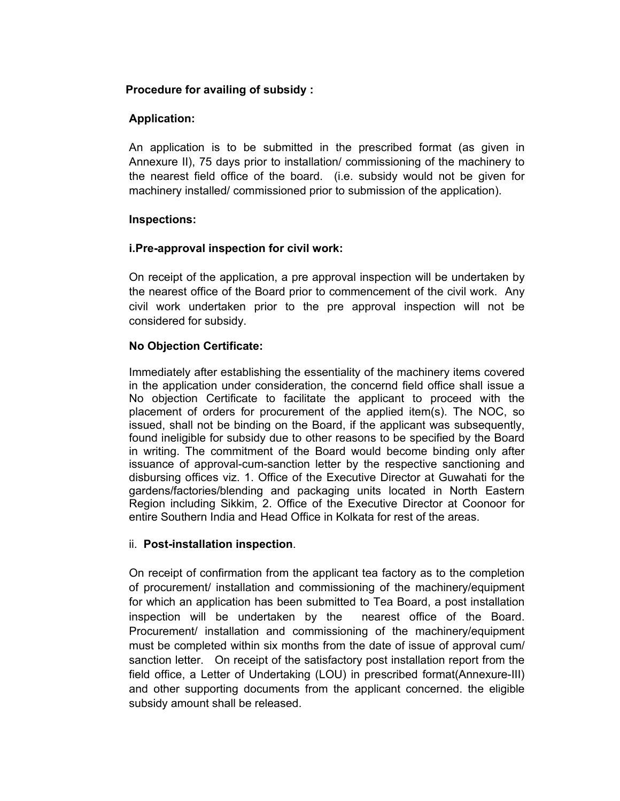# **Procedure for availing of subsidy :**

# **Application:**

An application is to be submitted in the prescribed format (as given in Annexure II), 75 days prior to installation/ commissioning of the machinery to the nearest field office of the board. (i.e. subsidy would not be given for machinery installed/ commissioned prior to submission of the application).

# **Inspections:**

# **i.Pre-approval inspection for civil work:**

On receipt of the application, a pre approval inspection will be undertaken by the nearest office of the Board prior to commencement of the civil work. Any civil work undertaken prior to the pre approval inspection will not be considered for subsidy.

# **No Objection Certificate:**

Immediately after establishing the essentiality of the machinery items covered in the application under consideration, the concernd field office shall issue a No objection Certificate to facilitate the applicant to proceed with the placement of orders for procurement of the applied item(s). The NOC, so issued, shall not be binding on the Board, if the applicant was subsequently, found ineligible for subsidy due to other reasons to be specified by the Board in writing. The commitment of the Board would become binding only after issuance of approval-cum-sanction letter by the respective sanctioning and disbursing offices viz. 1. Office of the Executive Director at Guwahati for the gardens/factories/blending and packaging units located in North Eastern Region including Sikkim, 2. Office of the Executive Director at Coonoor for entire Southern India and Head Office in Kolkata for rest of the areas.

# ii. **Post-installation inspection**.

On receipt of confirmation from the applicant tea factory as to the completion of procurement/ installation and commissioning of the machinery/equipment for which an application has been submitted to Tea Board, a post installation inspection will be undertaken by the nearest office of the Board. Procurement/ installation and commissioning of the machinery/equipment must be completed within six months from the date of issue of approval cum/ sanction letter. On receipt of the satisfactory post installation report from the field office, a Letter of Undertaking (LOU) in prescribed format(Annexure-III) and other supporting documents from the applicant concerned. the eligible subsidy amount shall be released.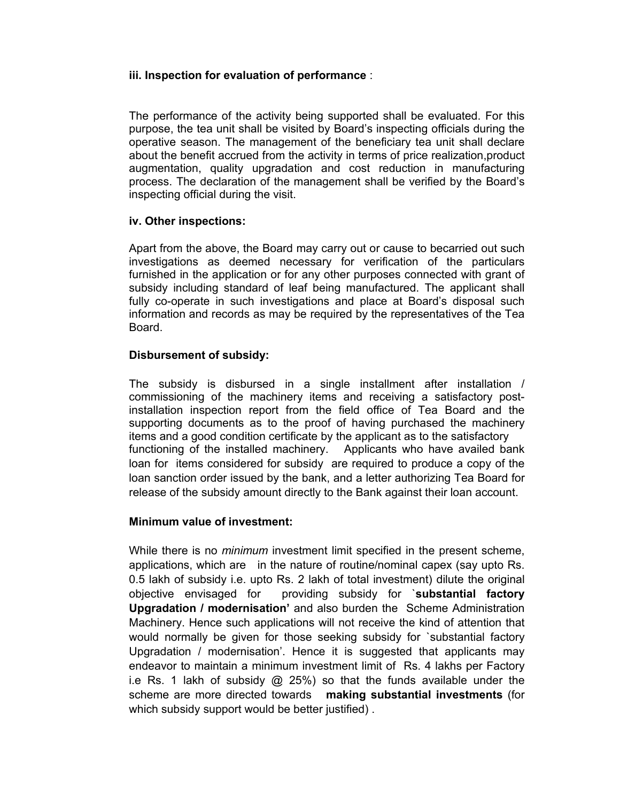# **iii. Inspection for evaluation of performance** :

The performance of the activity being supported shall be evaluated. For this purpose, the tea unit shall be visited by Board's inspecting officials during the operative season. The management of the beneficiary tea unit shall declare about the benefit accrued from the activity in terms of price realization,product augmentation, quality upgradation and cost reduction in manufacturing process. The declaration of the management shall be verified by the Board's inspecting official during the visit.

#### **iv. Other inspections:**

Apart from the above, the Board may carry out or cause to becarried out such investigations as deemed necessary for verification of the particulars furnished in the application or for any other purposes connected with grant of subsidy including standard of leaf being manufactured. The applicant shall fully co-operate in such investigations and place at Board's disposal such information and records as may be required by the representatives of the Tea Board.

#### **Disbursement of subsidy:**

The subsidy is disbursed in a single installment after installation / commissioning of the machinery items and receiving a satisfactory postinstallation inspection report from the field office of Tea Board and the supporting documents as to the proof of having purchased the machinery items and a good condition certificate by the applicant as to the satisfactory functioning of the installed machinery. Applicants who have availed bank loan for items considered for subsidy are required to produce a copy of the loan sanction order issued by the bank, and a letter authorizing Tea Board for release of the subsidy amount directly to the Bank against their loan account.

# **Minimum value of investment:**

While there is no *minimum* investment limit specified in the present scheme, applications, which are in the nature of routine/nominal capex (say upto Rs. 0.5 lakh of subsidy i.e. upto Rs. 2 lakh of total investment) dilute the original objective envisaged for providing subsidy for `**substantial factory Upgradation / modernisation'** and also burden the Scheme Administration Machinery. Hence such applications will not receive the kind of attention that would normally be given for those seeking subsidy for `substantial factory Upgradation / modernisation'. Hence it is suggested that applicants may endeavor to maintain a minimum investment limit of Rs. 4 lakhs per Factory i.e Rs. 1 lakh of subsidy  $\omega$  25%) so that the funds available under the scheme are more directed towards **making substantial investments** (for which subsidy support would be better justified).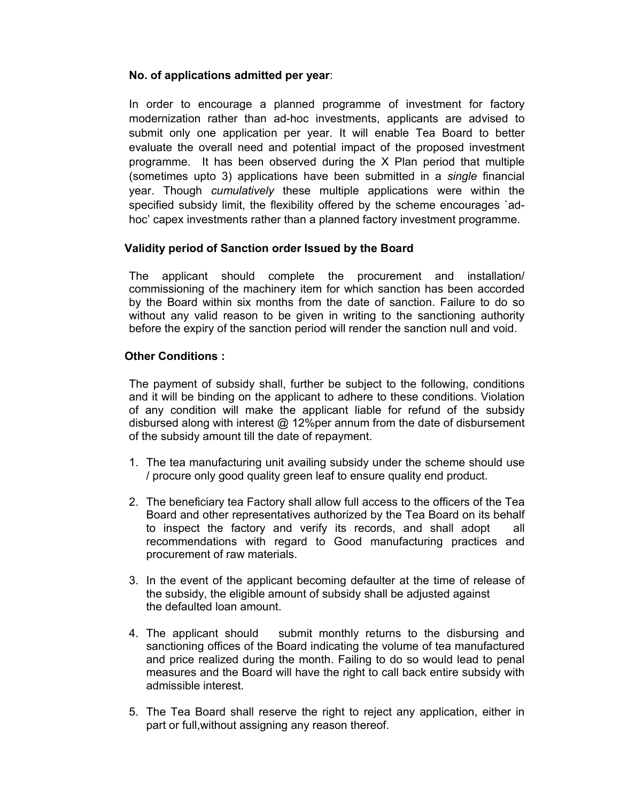# **No. of applications admitted per year**:

In order to encourage a planned programme of investment for factory modernization rather than ad-hoc investments, applicants are advised to submit only one application per year. It will enable Tea Board to better evaluate the overall need and potential impact of the proposed investment programme. It has been observed during the X Plan period that multiple (sometimes upto 3) applications have been submitted in a *single* financial year. Though *cumulatively* these multiple applications were within the specified subsidy limit, the flexibility offered by the scheme encourages `adhoc' capex investments rather than a planned factory investment programme.

# **Validity period of Sanction order Issued by the Board**

The applicant should complete the procurement and installation/ commissioning of the machinery item for which sanction has been accorded by the Board within six months from the date of sanction. Failure to do so without any valid reason to be given in writing to the sanctioning authority before the expiry of the sanction period will render the sanction null and void.

# **Other Conditions :**

The payment of subsidy shall, further be subject to the following, conditions and it will be binding on the applicant to adhere to these conditions. Violation of any condition will make the applicant liable for refund of the subsidy disbursed along with interest @ 12%per annum from the date of disbursement of the subsidy amount till the date of repayment.

- 1. The tea manufacturing unit availing subsidy under the scheme should use / procure only good quality green leaf to ensure quality end product.
- 2. The beneficiary tea Factory shall allow full access to the officers of the Tea Board and other representatives authorized by the Tea Board on its behalf to inspect the factory and verify its records, and shall adopt all recommendations with regard to Good manufacturing practices and procurement of raw materials.
- 3. In the event of the applicant becoming defaulter at the time of release of the subsidy, the eligible amount of subsidy shall be adjusted against the defaulted loan amount.
- 4. The applicant should submit monthly returns to the disbursing and sanctioning offices of the Board indicating the volume of tea manufactured and price realized during the month. Failing to do so would lead to penal measures and the Board will have the right to call back entire subsidy with admissible interest.
- 5. The Tea Board shall reserve the right to reject any application, either in part or full,without assigning any reason thereof.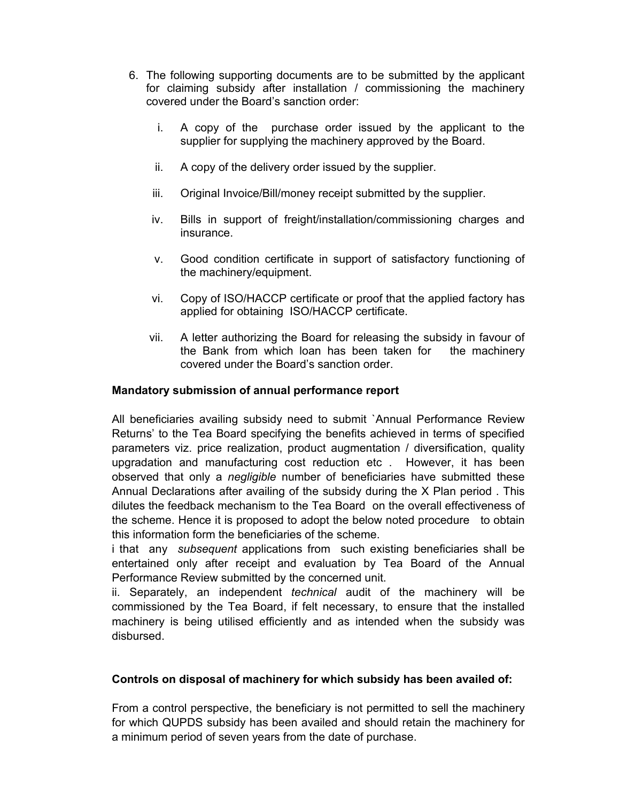- 6. The following supporting documents are to be submitted by the applicant for claiming subsidy after installation / commissioning the machinery covered under the Board's sanction order:
	- i. A copy of the purchase order issued by the applicant to the supplier for supplying the machinery approved by the Board.
	- ii. A copy of the delivery order issued by the supplier.
	- iii. Original Invoice/Bill/money receipt submitted by the supplier.
	- iv. Bills in support of freight/installation/commissioning charges and insurance.
	- v. Good condition certificate in support of satisfactory functioning of the machinery/equipment.
	- vi. Copy of ISO/HACCP certificate or proof that the applied factory has applied for obtaining ISO/HACCP certificate.
	- vii. A letter authorizing the Board for releasing the subsidy in favour of the Bank from which loan has been taken for the machinery covered under the Board's sanction order.

# **Mandatory submission of annual performance report**

All beneficiaries availing subsidy need to submit `Annual Performance Review Returns' to the Tea Board specifying the benefits achieved in terms of specified parameters viz. price realization, product augmentation / diversification, quality upgradation and manufacturing cost reduction etc . However, it has been observed that only a *negligible* number of beneficiaries have submitted these Annual Declarations after availing of the subsidy during the X Plan period . This dilutes the feedback mechanism to the Tea Board on the overall effectiveness of the scheme. Hence it is proposed to adopt the below noted procedure to obtain this information form the beneficiaries of the scheme.

i that any *subsequent* applications from such existing beneficiaries shall be entertained only after receipt and evaluation by Tea Board of the Annual Performance Review submitted by the concerned unit.

ii. Separately, an independent *technical* audit of the machinery will be commissioned by the Tea Board, if felt necessary, to ensure that the installed machinery is being utilised efficiently and as intended when the subsidy was disbursed.

# **Controls on disposal of machinery for which subsidy has been availed of:**

From a control perspective, the beneficiary is not permitted to sell the machinery for which QUPDS subsidy has been availed and should retain the machinery for a minimum period of seven years from the date of purchase.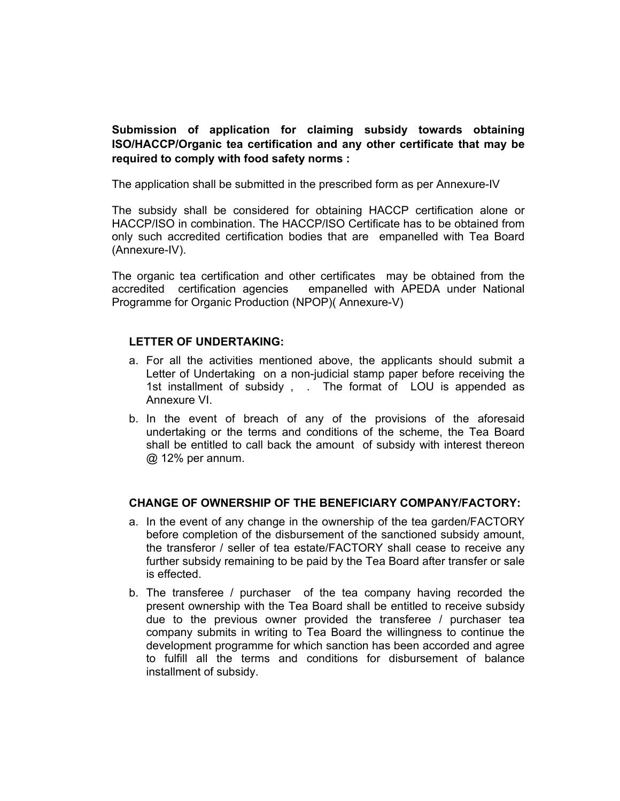**Submission of application for claiming subsidy towards obtaining ISO/HACCP/Organic tea certification and any other certificate that may be required to comply with food safety norms :** 

The application shall be submitted in the prescribed form as per Annexure-IV

The subsidy shall be considered for obtaining HACCP certification alone or HACCP/ISO in combination. The HACCP/ISO Certificate has to be obtained from only such accredited certification bodies that are empanelled with Tea Board (Annexure-IV).

The organic tea certification and other certificates may be obtained from the accredited certification agencies empanelled with APEDA under National Programme for Organic Production (NPOP)( Annexure-V)

# **LETTER OF UNDERTAKING:**

- a. For all the activities mentioned above, the applicants should submit a Letter of Undertaking on a non-judicial stamp paper before receiving the 1st installment of subsidy, . The format of LOU is appended as Annexure VI.
- b. In the event of breach of any of the provisions of the aforesaid undertaking or the terms and conditions of the scheme, the Tea Board shall be entitled to call back the amount of subsidy with interest thereon @ 12% per annum.

#### **CHANGE OF OWNERSHIP OF THE BENEFICIARY COMPANY/FACTORY:**

- a. In the event of any change in the ownership of the tea garden/FACTORY before completion of the disbursement of the sanctioned subsidy amount, the transferor / seller of tea estate/FACTORY shall cease to receive any further subsidy remaining to be paid by the Tea Board after transfer or sale is effected.
- b. The transferee / purchaser of the tea company having recorded the present ownership with the Tea Board shall be entitled to receive subsidy due to the previous owner provided the transferee / purchaser tea company submits in writing to Tea Board the willingness to continue the development programme for which sanction has been accorded and agree to fulfill all the terms and conditions for disbursement of balance installment of subsidy.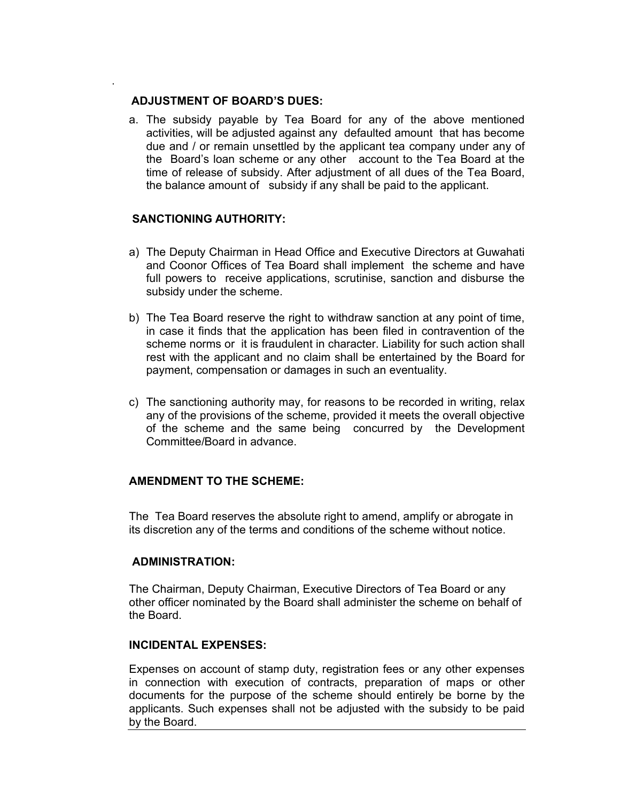## **ADJUSTMENT OF BOARD'S DUES:**

.

a. The subsidy payable by Tea Board for any of the above mentioned activities, will be adjusted against any defaulted amount that has become due and / or remain unsettled by the applicant tea company under any of the Board's loan scheme or any other account to the Tea Board at the time of release of subsidy. After adjustment of all dues of the Tea Board, the balance amount of subsidy if any shall be paid to the applicant.

## **SANCTIONING AUTHORITY:**

- a) The Deputy Chairman in Head Office and Executive Directors at Guwahati and Coonor Offices of Tea Board shall implement the scheme and have full powers to receive applications, scrutinise, sanction and disburse the subsidy under the scheme.
- b) The Tea Board reserve the right to withdraw sanction at any point of time, in case it finds that the application has been filed in contravention of the scheme norms or it is fraudulent in character. Liability for such action shall rest with the applicant and no claim shall be entertained by the Board for payment, compensation or damages in such an eventuality.
- c) The sanctioning authority may, for reasons to be recorded in writing, relax any of the provisions of the scheme, provided it meets the overall objective of the scheme and the same being concurred by the Development Committee/Board in advance.

# **AMENDMENT TO THE SCHEME:**

The Tea Board reserves the absolute right to amend, amplify or abrogate in its discretion any of the terms and conditions of the scheme without notice.

#### **ADMINISTRATION:**

The Chairman, Deputy Chairman, Executive Directors of Tea Board or any other officer nominated by the Board shall administer the scheme on behalf of the Board.

#### **INCIDENTAL EXPENSES:**

Expenses on account of stamp duty, registration fees or any other expenses in connection with execution of contracts, preparation of maps or other documents for the purpose of the scheme should entirely be borne by the applicants. Such expenses shall not be adjusted with the subsidy to be paid by the Board.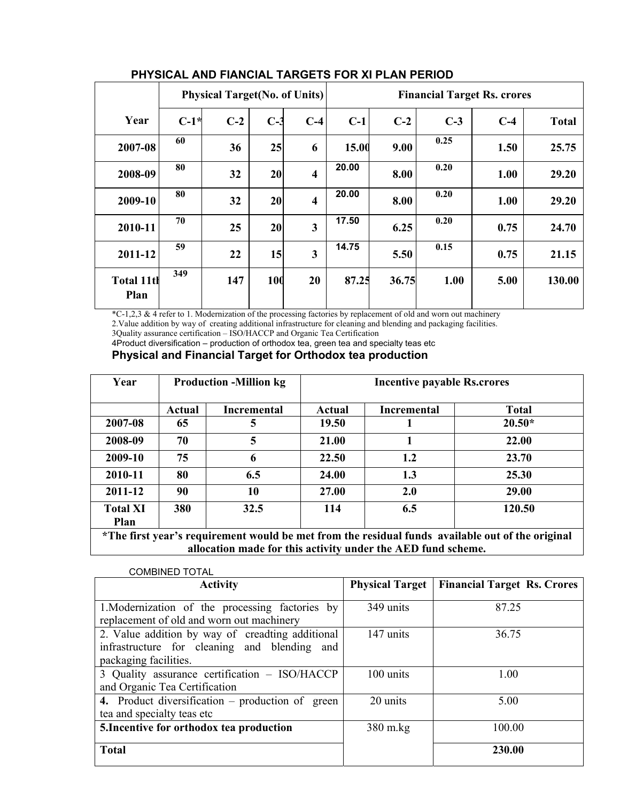|                           | <b>Physical Target (No. of Units)</b> |       |       |                         | <b>Financial Target Rs. crores</b> |       |       |       |              |
|---------------------------|---------------------------------------|-------|-------|-------------------------|------------------------------------|-------|-------|-------|--------------|
| Year                      | $C-1*$                                | $C-2$ | $C-3$ | $C-4$                   | $C-1$                              | $C-2$ | $C-3$ | $C-4$ | <b>Total</b> |
| 2007-08                   | 60                                    | 36    | 25    | 6                       | 15.00                              | 9.00  | 0.25  | 1.50  | 25.75        |
| 2008-09                   | 80                                    | 32    | 20    | $\overline{\mathbf{4}}$ | 20.00                              | 8.00  | 0.20  | 1.00  | 29.20        |
| 2009-10                   | 80                                    | 32    | 20    | $\overline{\mathbf{4}}$ | 20.00                              | 8.00  | 0.20  | 1.00  | 29.20        |
| 2010-11                   | 70                                    | 25    | 20    | 3                       | 17.50                              | 6.25  | 0.20  | 0.75  | 24.70        |
| 2011-12                   | 59                                    | 22    | 15    | 3                       | 14.75                              | 5.50  | 0.15  | 0.75  | 21.15        |
| <b>Total 11th</b><br>Plan | 349                                   | 147   | 100   | 20                      | 87.25                              | 36.75 | 1.00  | 5.00  | 130.00       |

# **PHYSICAL AND FIANCIAL TARGETS FOR XI PLAN PERIOD**

\*C-1,2,3 & 4 refer to 1. Modernization of the processing factories by replacement of old and worn out machinery

2.Value addition by way of creating additional infrastructure for cleaning and blending and packaging facilities.

3Quality assurance certification – ISO/HACCP and Organic Tea Certification

4Product diversification – production of orthodox tea, green tea and specialty teas etc **Physical and Financial Target for Orthodox tea production** 

| Year                    | <b>Production -Million kg</b>                                                                    |                    | <b>Incentive payable Rs.crores</b> |                    |              |  |
|-------------------------|--------------------------------------------------------------------------------------------------|--------------------|------------------------------------|--------------------|--------------|--|
|                         | Actual                                                                                           | <b>Incremental</b> | Actual                             | <b>Incremental</b> | <b>Total</b> |  |
| 2007-08                 | 65                                                                                               | 5                  | 19.50                              |                    | $20.50*$     |  |
| 2008-09                 | 70                                                                                               | 5                  | 21.00                              |                    | 22.00        |  |
| 2009-10                 | 75                                                                                               | 6                  | 22.50                              | $1.2\,$            | 23.70        |  |
| 2010-11                 | 80                                                                                               | 6.5                | 24.00                              | 1.3                | 25.30        |  |
| 2011-12                 | 90                                                                                               | 10                 | 27.00                              | 2.0                | 29.00        |  |
| <b>Total XI</b><br>Plan | 380                                                                                              | 32.5               | 114                                | 6.5                | 120.50       |  |
|                         | *The first year's requirement would be met from the residual funds available out of the original |                    |                                    |                    |              |  |

**allocation made for this activity under the AED fund scheme.** 

| <b>COMBINED TOTAL</b>                                                                                                     |                        |                                    |
|---------------------------------------------------------------------------------------------------------------------------|------------------------|------------------------------------|
| <b>Activity</b>                                                                                                           | <b>Physical Target</b> | <b>Financial Target Rs. Crores</b> |
| 1. Modernization of the processing factories by<br>replacement of old and worn out machinery                              | 349 units              | 87.25                              |
| 2. Value addition by way of creadting additional<br>infrastructure for cleaning and blending and<br>packaging facilities. | 147 units              | 36.75                              |
| 3 Quality assurance certification - ISO/HACCP<br>and Organic Tea Certification                                            | 100 units              | 1.00                               |
| 4. Product diversification – production of green<br>tea and specialty teas etc                                            | 20 units               | 5.00                               |
| 5. Incentive for orthodox tea production                                                                                  | 380 m.kg               | 100.00                             |
| <b>Total</b>                                                                                                              |                        | 230.00                             |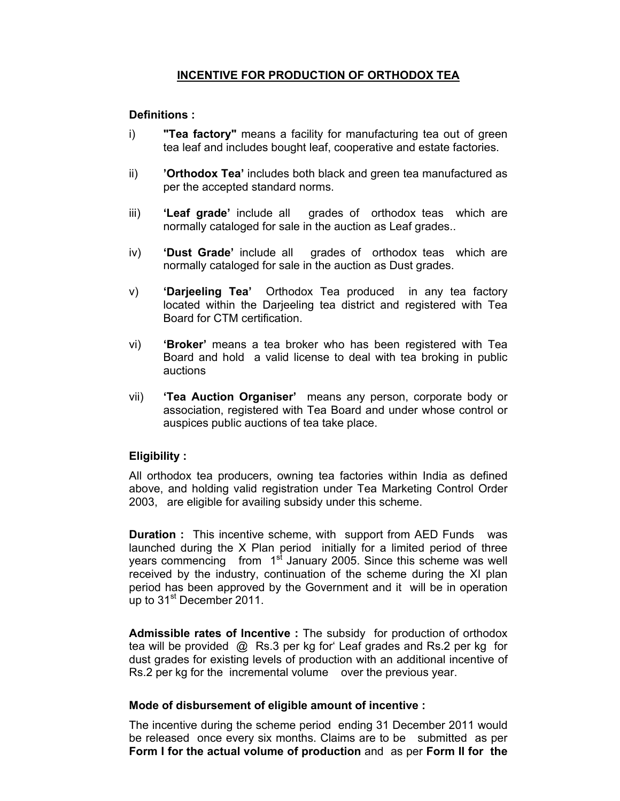# **INCENTIVE FOR PRODUCTION OF ORTHODOX TEA**

# **Definitions :**

- i) **"Tea factory"** means a facility for manufacturing tea out of green tea leaf and includes bought leaf, cooperative and estate factories.
- ii) **'Orthodox Tea'** includes both black and green tea manufactured as per the accepted standard norms.
- iii) **'Leaf grade'** include all grades of orthodox teas which are normally cataloged for sale in the auction as Leaf grades..
- iv) **'Dust Grade'** include all grades of orthodox teas which are normally cataloged for sale in the auction as Dust grades.
- v) **'Darjeeling Tea'** Orthodox Tea produced in any tea factory located within the Darjeeling tea district and registered with Tea Board for CTM certification.
- vi) **'Broker'** means a tea broker who has been registered with Tea Board and hold a valid license to deal with tea broking in public auctions
- vii) **'Tea Auction Organiser'** means any person, corporate body or association, registered with Tea Board and under whose control or auspices public auctions of tea take place.

# **Eligibility :**

All orthodox tea producers, owning tea factories within India as defined above, and holding valid registration under Tea Marketing Control Order 2003, are eligible for availing subsidy under this scheme.

**Duration :** This incentive scheme, with support from AED Funds was launched during the X Plan period initially for a limited period of three years commencing from 1<sup>st</sup> January 2005. Since this scheme was well received by the industry, continuation of the scheme during the XI plan period has been approved by the Government and it will be in operation up to 31<sup>st</sup> December 2011.

**Admissible rates of Incentive :** The subsidy for production of orthodox tea will be provided @ Rs.3 per kg for' Leaf grades and Rs.2 per kg for dust grades for existing levels of production with an additional incentive of Rs.2 per kg for the incremental volume over the previous year.

# **Mode of disbursement of eligible amount of incentive :**

The incentive during the scheme period ending 31 December 2011 would be released once every six months. Claims are to be submitted as per **Form I for the actual volume of production** and as per **Form II for the**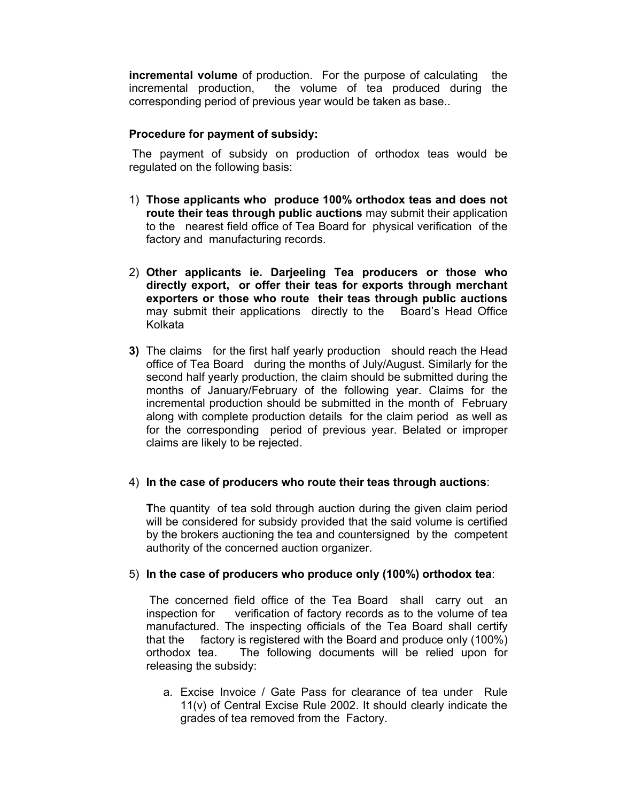**incremental volume** of production. For the purpose of calculating the incremental production, the volume of tea produced during the corresponding period of previous year would be taken as base..

# **Procedure for payment of subsidy:**

 The payment of subsidy on production of orthodox teas would be regulated on the following basis:

- 1) **Those applicants who produce 100% orthodox teas and does not route their teas through public auctions** may submit their application to the nearest field office of Tea Board for physical verification of the factory and manufacturing records.
- 2) **Other applicants ie. Darjeeling Tea producers or those who directly export, or offer their teas for exports through merchant exporters or those who route their teas through public auctions** may submit their applications directly to the Board's Head Office Kolkata
- **3)** The claims for the first half yearly production should reach the Head office of Tea Board during the months of July/August. Similarly for the second half yearly production, the claim should be submitted during the months of January/February of the following year. Claims for the incremental production should be submitted in the month of February along with complete production details for the claim period as well as for the corresponding period of previous year. Belated or improper claims are likely to be rejected.

# 4) **In the case of producers who route their teas through auctions**:

**T**he quantity of tea sold through auction during the given claim period will be considered for subsidy provided that the said volume is certified by the brokers auctioning the tea and countersigned by the competent authority of the concerned auction organizer.

# 5) **In the case of producers who produce only (100%) orthodox tea**:

 The concerned field office of the Tea Board shall carry out an inspection for verification of factory records as to the volume of tea manufactured. The inspecting officials of the Tea Board shall certify that the factory is registered with the Board and produce only (100%) orthodox tea. The following documents will be relied upon for releasing the subsidy:

a. Excise Invoice / Gate Pass for clearance of tea under Rule 11(v) of Central Excise Rule 2002. It should clearly indicate the grades of tea removed from the Factory.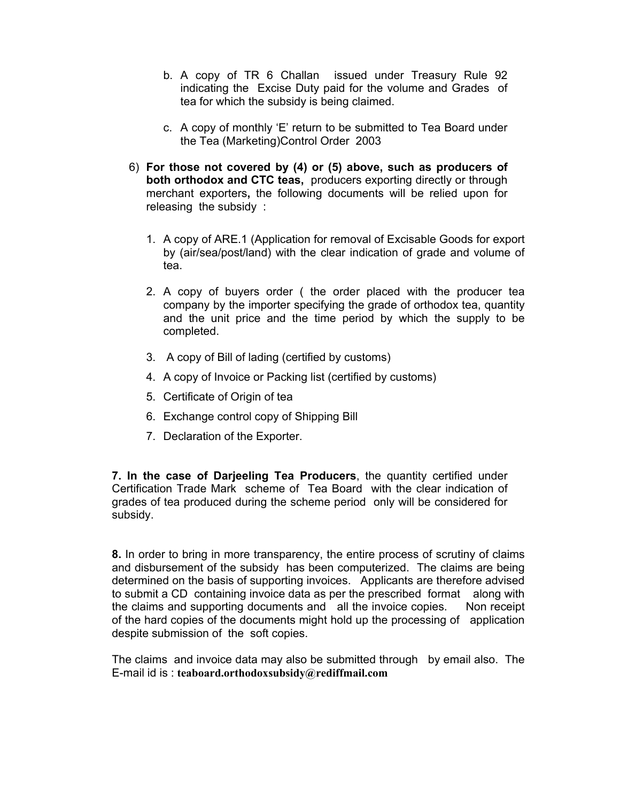- b. A copy of TR 6 Challan issued under Treasury Rule 92 indicating the Excise Duty paid for the volume and Grades of tea for which the subsidy is being claimed.
- c. A copy of monthly 'E' return to be submitted to Tea Board under the Tea (Marketing)Control Order 2003
- 6) **For those not covered by (4) or (5) above, such as producers of both orthodox and CTC teas,** producers exporting directly or through merchant exporters**,** the following documents will be relied upon for releasing the subsidy :
	- 1. A copy of ARE.1 (Application for removal of Excisable Goods for export by (air/sea/post/land) with the clear indication of grade and volume of tea.
	- 2. A copy of buyers order ( the order placed with the producer tea company by the importer specifying the grade of orthodox tea, quantity and the unit price and the time period by which the supply to be completed.
	- 3. A copy of Bill of lading (certified by customs)
	- 4. A copy of Invoice or Packing list (certified by customs)
	- 5. Certificate of Origin of tea
	- 6. Exchange control copy of Shipping Bill
	- 7. Declaration of the Exporter.

**7. In the case of Darjeeling Tea Producers**, the quantity certified under Certification Trade Mark scheme of Tea Board with the clear indication of grades of tea produced during the scheme period only will be considered for subsidy.

**8.** In order to bring in more transparency, the entire process of scrutiny of claims and disbursement of the subsidy has been computerized. The claims are being determined on the basis of supporting invoices. Applicants are therefore advised to submit a CD containing invoice data as per the prescribed format along with the claims and supporting documents and all the invoice copies. Non receipt of the hard copies of the documents might hold up the processing of application despite submission of the soft copies.

The claims and invoice data may also be submitted through by email also. The E-mail id is : **teaboard.orthodoxsubsidy@rediffmail.com**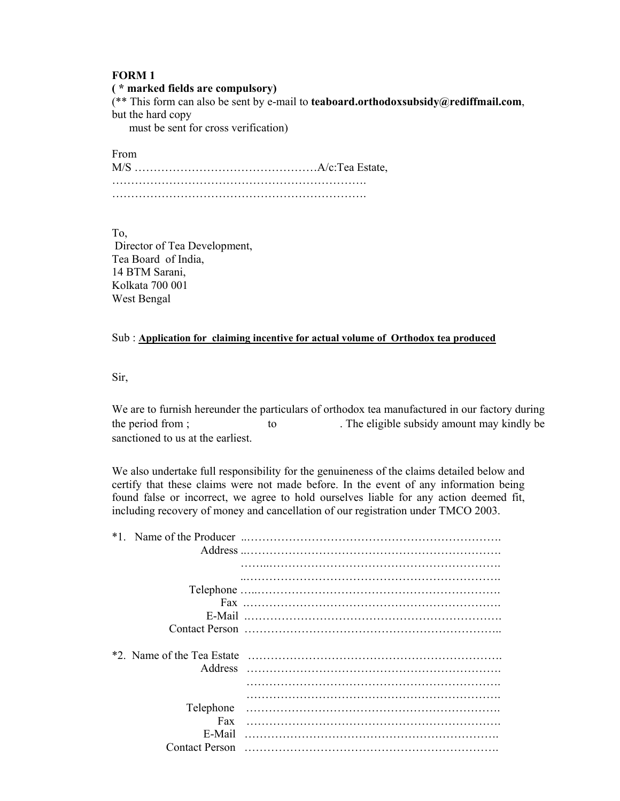#### **FORM 1**

#### **( \* marked fields are compulsory)**

(\*\* This form can also be sent by e-mail to **teaboard.orthodoxsubsidy@rediffmail.com**, but the hard copy

must be sent for cross verification)

From

M/S …………………………………………A/c:Tea Estate, …………………………………………………………. ………………………………………………………….

To,

 Director of Tea Development, Tea Board of India, 14 BTM Sarani, Kolkata 700 001 West Bengal

#### Sub : **Application for claiming incentive for actual volume of Orthodox tea produced**

Sir,

We are to furnish hereunder the particulars of orthodox tea manufactured in our factory during the period from ; to the eligible subsidy amount may kindly be sanctioned to us at the earliest.

We also undertake full responsibility for the genuineness of the claims detailed below and certify that these claims were not made before. In the event of any information being found false or incorrect, we agree to hold ourselves liable for any action deemed fit, including recovery of money and cancellation of our registration under TMCO 2003.

| *1                         |  |
|----------------------------|--|
|                            |  |
|                            |  |
|                            |  |
|                            |  |
|                            |  |
|                            |  |
| *2. Name of the Tea Estate |  |
|                            |  |
|                            |  |
|                            |  |
|                            |  |
| Telephone                  |  |
| Fax                        |  |
| E-Mail                     |  |
| <b>Contact Person</b>      |  |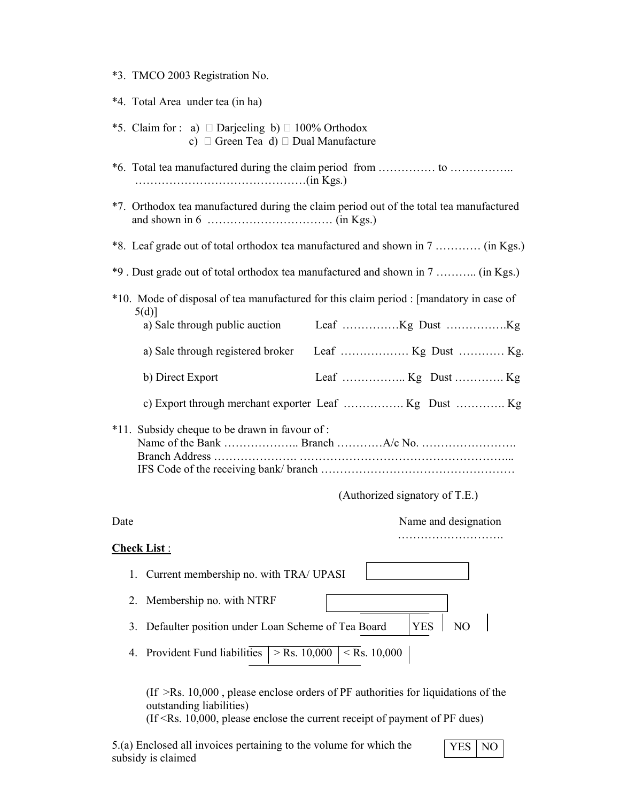- \*3. TMCO 2003 Registration No.
- \*4. Total Area under tea (in ha) \*5. Claim for : a)  $\Box$  Darjeeling b)  $\Box$  100% Orthodox c)  $\Box$  Green Tea d)  $\Box$  Dual Manufacture \*6. Total tea manufactured during the claim period from …………… to …………….. ………………………………………(in Kgs.) \*7. Orthodox tea manufactured during the claim period out of the total tea manufactured and shown in 6 …………………………… (in Kgs.) \*8. Leaf grade out of total orthodox tea manufactured and shown in 7 ………… (in Kgs.) \*9 . Dust grade out of total orthodox tea manufactured and shown in 7 ……….. (in Kgs.) \*10. Mode of disposal of tea manufactured for this claim period : [mandatory in case of 5(d)] a) Sale through public auction Leaf ……………Kg Dust …………….Kg a) Sale through registered broker Leaf ……………… Kg Dust ………… Kg. b) Direct Export Leaf …………….. Kg Dust …………. Kg c) Export through merchant exporter Leaf ……………. Kg Dust …………. Kg \*11. Subsidy cheque to be drawn in favour of : Name of the Bank ……………….. Branch …………A/c No. ……………………. Branch Address …………………. ………………………………………………... IFS Code of the receiving bank/ branch …………………………………………… (Authorized signatory of T.E.) Date Name and designation ………………………. **Check List** : 1. Current membership no. with TRA/ UPASI 2. Membership no. with NTRF 3. Defaulter position under Loan Scheme of Tea Board | YES | NO
	- 4. Provident Fund liabilities  $| > \text{Rs. } 10,000 | < \text{Rs. } 10,000$

 $($ If  $>$ Rs. 10,000, please enclose orders of PF authorities for liquidations of the outstanding liabilities)

 $($ If  $\le$ Rs. 10,000, please enclose the current receipt of payment of PF dues)

5.(a) Enclosed all invoices pertaining to the volume for which the subsidy is claimed

$$
YES | NO |
$$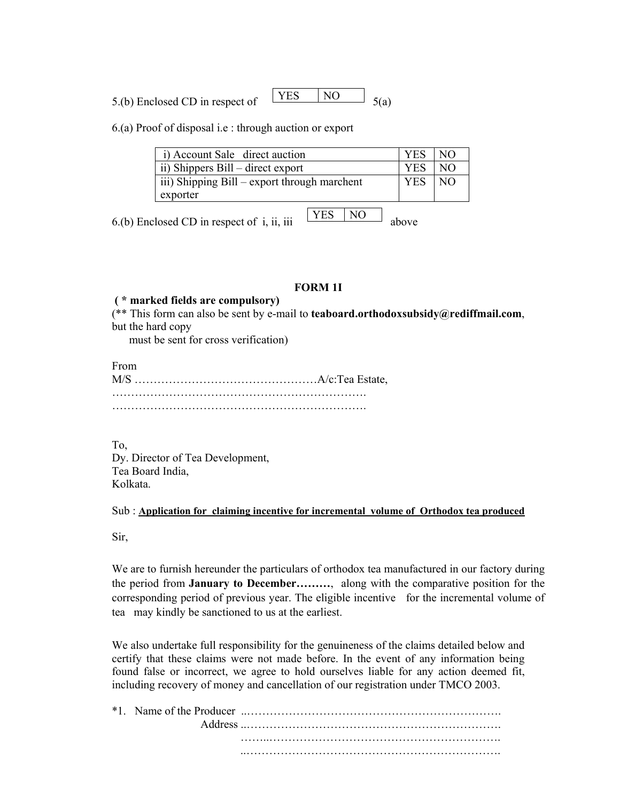5.(b) Enclosed CD in respect of  $\begin{array}{|c|c|c|c|c|c|c|c|c|} \hline YES & NO & 5(a) \hline \end{array}$ **YES** 

6.(a) Proof of disposal i.e : through auction or export

| i) Account Sale direct auction               | <b>YES</b> | NO. |
|----------------------------------------------|------------|-----|
| ii) Shippers Bill – direct export            | <b>YES</b> | NO. |
| iii) Shipping Bill – export through marchent | <b>YES</b> | NO. |
| exporter                                     |            |     |
|                                              |            |     |

6.(b) Enclosed CD in respect of i, ii, iii  $\frac{1}{1}$   $\frac{1}{1}$   $\frac{1}{1}$   $\frac{1}{1}$  above

YES NO

#### **FORM 1I**

## **( \* marked fields are compulsory)**

(\*\* This form can also be sent by e-mail to **teaboard.orthodoxsubsidy@rediffmail.com**, but the hard copy

must be sent for cross verification)

From M/S …………………………………………A/c:Tea Estate, …………………………………………………………. ………………………………………………………….

To,

Dy. Director of Tea Development, Tea Board India, Kolkata.

Sub : **Application for claiming incentive for incremental volume of Orthodox tea produced**

Sir,

We are to furnish hereunder the particulars of orthodox tea manufactured in our factory during the period from **January to December………**, along with the comparative position for the corresponding period of previous year. The eligible incentive for the incremental volume of tea may kindly be sanctioned to us at the earliest.

We also undertake full responsibility for the genuineness of the claims detailed below and certify that these claims were not made before. In the event of any information being found false or incorrect, we agree to hold ourselves liable for any action deemed fit, including recovery of money and cancellation of our registration under TMCO 2003.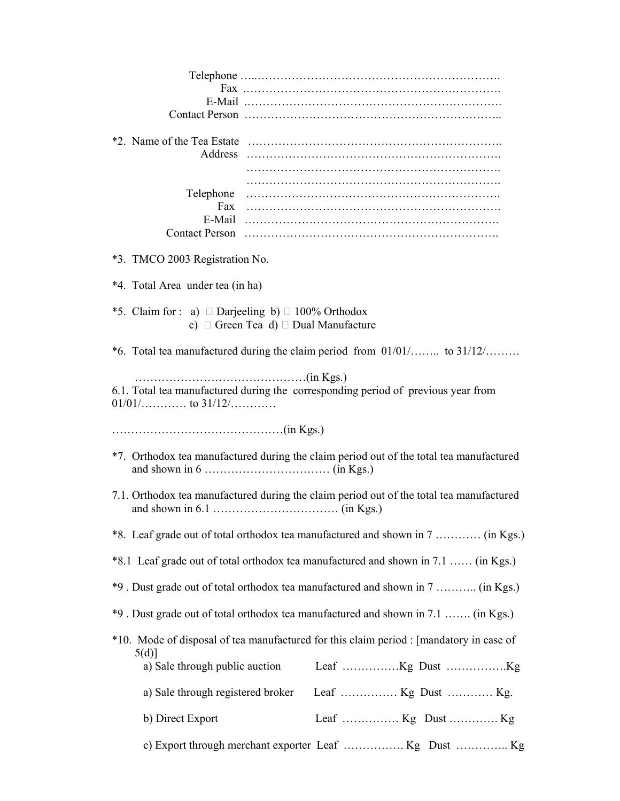| Address                                                      |                                                                                          |
|--------------------------------------------------------------|------------------------------------------------------------------------------------------|
| Telephone<br>Fax                                             |                                                                                          |
| *3. TMCO 2003 Registration No.                               |                                                                                          |
| *4. Total Area under tea (in ha)                             |                                                                                          |
| *5. Claim for : a) $\Box$ Darjeeling b) $\Box$ 100% Orthodox | c) $\Box$ Green Tea d) $\Box$ Dual Manufacture                                           |
|                                                              | *6. Total tea manufactured during the claim period from $01/01/$ to $31/12/$             |
|                                                              | 6.1. Total tea manufactured during the corresponding period of previous year from        |
|                                                              |                                                                                          |
|                                                              | *7. Orthodox tea manufactured during the claim period out of the total tea manufactured  |
|                                                              | 7.1. Orthodox tea manufactured during the claim period out of the total tea manufactured |
|                                                              | *8. Leaf grade out of total orthodox tea manufactured and shown in 7  (in Kgs.)          |
|                                                              | *8.1 Leaf grade out of total orthodox tea manufactured and shown in 7.1  (in Kgs.)       |
|                                                              | *9. Dust grade out of total orthodox tea manufactured and shown in 7  (in Kgs.)          |
|                                                              | *9. Dust grade out of total orthodox tea manufactured and shown in 7.1  (in Kgs.)        |
| 5(d)]<br>a) Sale through public auction                      | *10. Mode of disposal of tea manufactured for this claim period : [mandatory in case of  |
| a) Sale through registered broker                            |                                                                                          |
| b) Direct Export                                             |                                                                                          |
|                                                              |                                                                                          |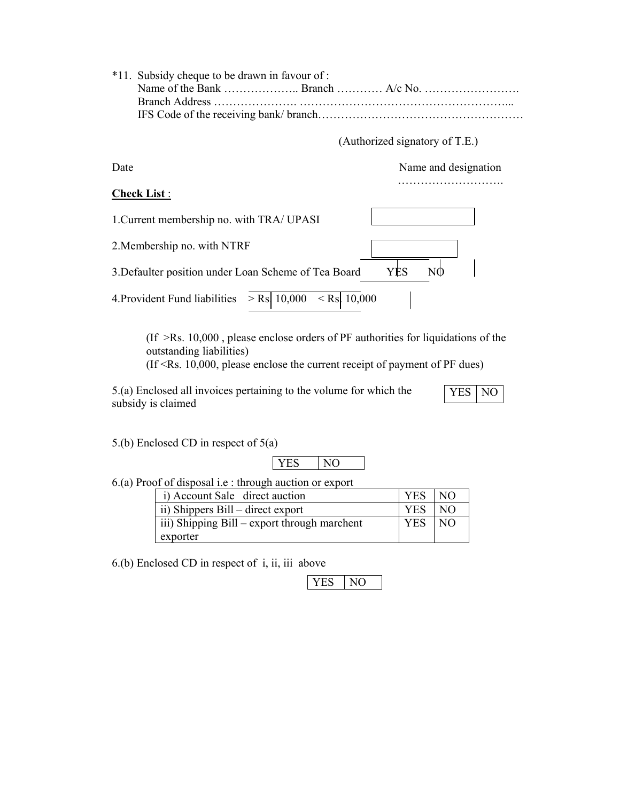| *11. Subsidy cheque to be drawn in favour of:<br><b>Branch Address</b> |                                |
|------------------------------------------------------------------------|--------------------------------|
|                                                                        | (Authorized signatory of T.E.) |
| Date                                                                   | Name and designation           |
| <b>Check List:</b>                                                     |                                |
| 1. Current membership no. with TRA/ UPASI                              |                                |
| 2. Membership no. with NTRF                                            |                                |
| 3. Defaulter position under Loan Scheme of Tea Board                   | YĖS<br>NO                      |
| $>$ Rs. 10,000<br>$\le$ Rs. 10,000<br>4. Provident Fund liabilities    |                                |

(If >Rs. 10,000 , please enclose orders of PF authorities for liquidations of the outstanding liabilities)

(If <Rs. 10,000, please enclose the current receipt of payment of PF dues)

5.(a) Enclosed all invoices pertaining to the volume for which the subsidy is claimed

YES NO

5.(b) Enclosed CD in respect of 5(a)

# YES NO

6.(a) Proof of disposal i.e : through auction or export

| i) Account Sale direct auction               | YES NO     |     |
|----------------------------------------------|------------|-----|
| ii) Shippers Bill – direct export            | <b>YES</b> | NO  |
| iii) Shipping Bill – export through marchent | <b>YES</b> | NO. |
| exporter                                     |            |     |

6.(b) Enclosed CD in respect of i, ii, iii above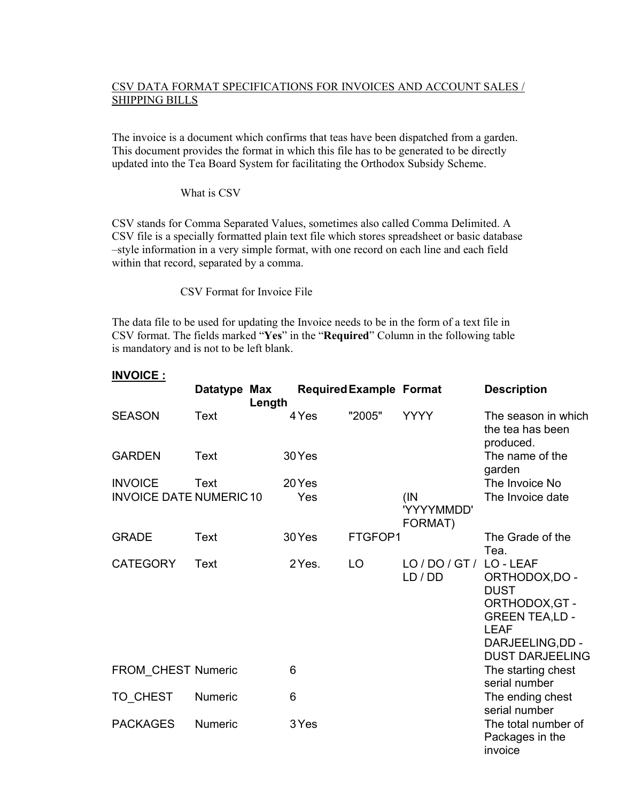# CSV DATA FORMAT SPECIFICATIONS FOR INVOICES AND ACCOUNT SALES / SHIPPING BILLS

The invoice is a document which confirms that teas have been dispatched from a garden. This document provides the format in which this file has to be generated to be directly updated into the Tea Board System for facilitating the Orthodox Subsidy Scheme.

What is CSV

CSV stands for Comma Separated Values, sometimes also called Comma Delimited. A CSV file is a specially formatted plain text file which stores spreadsheet or basic database –style information in a very simple format, with one record on each line and each field within that record, separated by a comma.

CSV Format for Invoice File

The data file to be used for updating the Invoice needs to be in the form of a text file in CSV format. The fields marked "**Yes**" in the "**Required**" Column in the following table is mandatory and is not to be left blank.

|                               | Datatype Max   | Length |        | <b>Required Example Format</b> |                               | <b>Description</b>                                                                                                                               |
|-------------------------------|----------------|--------|--------|--------------------------------|-------------------------------|--------------------------------------------------------------------------------------------------------------------------------------------------|
| <b>SEASON</b>                 | Text           |        | 4 Yes  | "2005"                         | <b>YYYY</b>                   | The season in which<br>the tea has been<br>produced.                                                                                             |
| <b>GARDEN</b>                 | Text           |        | 30 Yes |                                |                               | The name of the<br>garden                                                                                                                        |
| <b>INVOICE</b>                | Text           |        | 20 Yes |                                |                               | The Invoice No                                                                                                                                   |
| <b>INVOICE DATE NUMERIC10</b> |                |        | Yes    |                                | (IN)<br>'YYYYMMDD'<br>FORMAT) | The Invoice date                                                                                                                                 |
| <b>GRADE</b>                  | Text           |        | 30 Yes | FTGFOP1                        |                               | The Grade of the<br>Tea.                                                                                                                         |
| <b>CATEGORY</b>               | Text           |        | 2 Yes. | LO                             | LO/DO/GT/<br>LD / DD          | LO-LEAF<br>ORTHODOX, DO -<br><b>DUST</b><br>ORTHODOX, GT -<br><b>GREEN TEA,LD -</b><br><b>LEAF</b><br>DARJEELING, DD -<br><b>DUST DARJEELING</b> |
| FROM_CHEST Numeric            |                |        | 6      |                                |                               | The starting chest<br>serial number                                                                                                              |
| TO_CHEST                      | Numeric        |        | 6      |                                |                               | The ending chest<br>serial number                                                                                                                |
| <b>PACKAGES</b>               | <b>Numeric</b> |        | 3 Yes  |                                |                               | The total number of<br>Packages in the<br>invoice                                                                                                |

# **INVOICE :**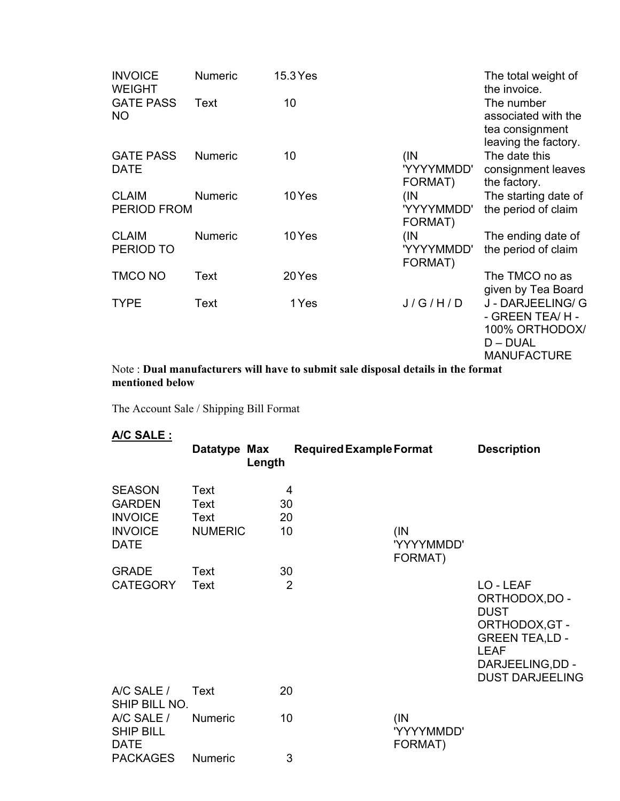| <b>INVOICE</b><br><b>WEIGHT</b>    | <b>Numeric</b> | 15.3 Yes |                               | The total weight of<br>the invoice.                                                        |
|------------------------------------|----------------|----------|-------------------------------|--------------------------------------------------------------------------------------------|
| <b>GATE PASS</b><br><b>NO</b>      | Text           | 10       |                               | The number<br>associated with the<br>tea consignment<br>leaving the factory.               |
| <b>GATE PASS</b><br><b>DATE</b>    | <b>Numeric</b> | 10       | (IN)<br>'YYYYMMDD'<br>FORMAT) | The date this<br>consignment leaves<br>the factory.                                        |
| <b>CLAIM</b><br><b>PERIOD FROM</b> | <b>Numeric</b> | 10 Yes   | (IN<br>'YYYYMMDD'<br>FORMAT)  | The starting date of<br>the period of claim                                                |
| <b>CLAIM</b><br>PERIOD TO          | <b>Numeric</b> | 10 Yes   | (IN)<br>'YYYYMMDD'<br>FORMAT) | The ending date of<br>the period of claim                                                  |
| <b>TMCO NO</b>                     | Text           | 20 Yes   |                               | The TMCO no as<br>given by Tea Board                                                       |
| <b>TYPE</b>                        | Text           | 1 Yes    | J/G/H/D                       | J - DARJEELING/ G<br>- GREEN TEA/H -<br>100% ORTHODOX/<br>$D - DUAL$<br><b>MANUFACTURE</b> |

# Note : **Dual manufacturers will have to submit sale disposal details in the format mentioned below**

The Account Sale / Shipping Bill Format

**A/C SALE :** 

| .                                             | Datatype Max   | Length         | <b>Required Example Format</b> |                       | <b>Description</b>                                                                                                                                 |
|-----------------------------------------------|----------------|----------------|--------------------------------|-----------------------|----------------------------------------------------------------------------------------------------------------------------------------------------|
| <b>SEASON</b>                                 | Text           | $\overline{4}$ |                                |                       |                                                                                                                                                    |
| <b>GARDEN</b>                                 | Text           | 30             |                                |                       |                                                                                                                                                    |
| <b>INVOICE</b>                                | Text           | 20             |                                |                       |                                                                                                                                                    |
| <b>INVOICE</b><br><b>DATE</b>                 | <b>NUMERIC</b> | 10             | (IN)                           | 'YYYYMMDD'<br>FORMAT) |                                                                                                                                                    |
| <b>GRADE</b>                                  | Text           | 30             |                                |                       |                                                                                                                                                    |
| <b>CATEGORY</b>                               | Text           | $\overline{2}$ |                                |                       | LO - LEAF<br>ORTHODOX, DO -<br><b>DUST</b><br>ORTHODOX, GT -<br><b>GREEN TEA,LD -</b><br><b>LEAF</b><br>DARJEELING, DD -<br><b>DUST DARJEELING</b> |
| A/C SALE /<br>SHIP BILL NO.                   | Text           | 20             |                                |                       |                                                                                                                                                    |
| A/C SALE /<br><b>SHIP BILL</b><br><b>DATE</b> | <b>Numeric</b> | 10             | (IN)                           | 'YYYYMMDD'<br>FORMAT) |                                                                                                                                                    |
| <b>PACKAGES</b>                               | <b>Numeric</b> | 3              |                                |                       |                                                                                                                                                    |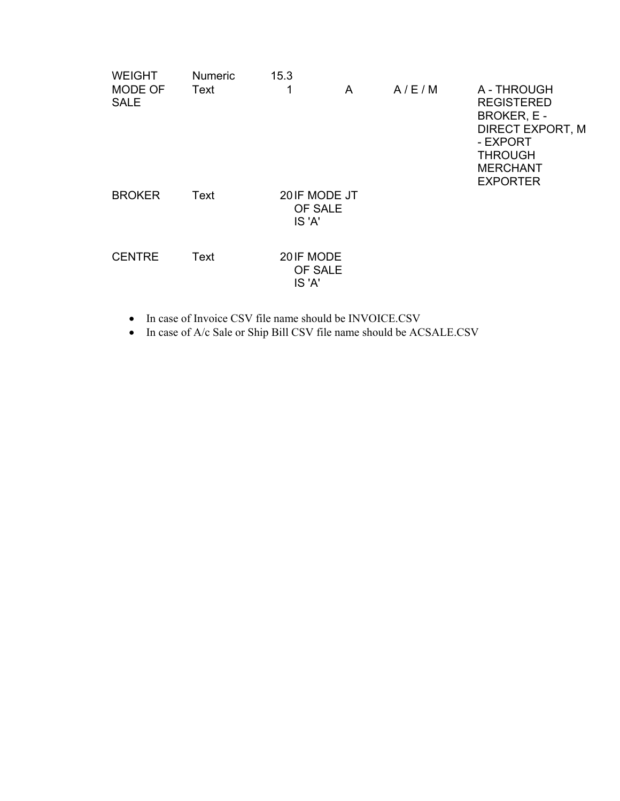| <b>WEIGHT</b>                 | <b>Numeric</b> | 15.3                               |   |       |                                                                                                                                                |
|-------------------------------|----------------|------------------------------------|---|-------|------------------------------------------------------------------------------------------------------------------------------------------------|
| <b>MODE OF</b><br><b>SALE</b> | Text           | 1                                  | A | A/E/M | A - THROUGH<br><b>REGISTERED</b><br>BROKER, E -<br><b>DIRECT EXPORT, M</b><br>- EXPORT<br><b>THROUGH</b><br><b>MERCHANT</b><br><b>EXPORTER</b> |
| <b>BROKER</b>                 | Text           | 20 IF MODE JT<br>OF SALE<br>IS 'A' |   |       |                                                                                                                                                |
| <b>CENTRE</b>                 | Text           | 20IF MODE<br>OF SALE<br>IS 'A'     |   |       |                                                                                                                                                |

• In case of Invoice CSV file name should be INVOICE.CSV

• In case of A/c Sale or Ship Bill CSV file name should be ACSALE.CSV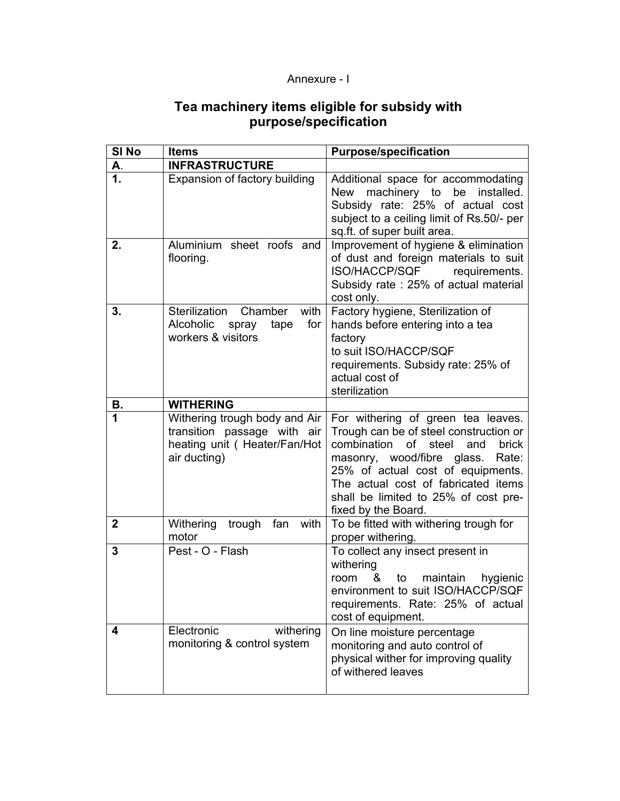# Annexure - I

# **Tea machinery items eligible for subsidy with purpose/specification**

| SI <sub>No</sub> | <b>Items</b>                                                                                                 | <b>Purpose/specification</b>                                                                                                                                                                                                                                                                                 |
|------------------|--------------------------------------------------------------------------------------------------------------|--------------------------------------------------------------------------------------------------------------------------------------------------------------------------------------------------------------------------------------------------------------------------------------------------------------|
| А.               | <b>INFRASTRUCTURE</b>                                                                                        |                                                                                                                                                                                                                                                                                                              |
| 1.               | Expansion of factory building                                                                                | Additional space for accommodating<br>New machinery to be installed.<br>Subsidy rate: 25% of actual cost<br>subject to a ceiling limit of Rs.50/- per<br>sq.ft. of super built area.                                                                                                                         |
| 2.               | Aluminium sheet roofs and<br>flooring.                                                                       | Improvement of hygiene & elimination<br>of dust and foreign materials to suit<br>ISO/HACCP/SQF<br>requirements.<br>Subsidy rate: 25% of actual material<br>cost only.                                                                                                                                        |
| 3.               | Sterilization<br>Chamber<br>with<br>Alcoholic<br>for<br>spray<br>tape<br>workers & visitors                  | Factory hygiene, Sterilization of<br>hands before entering into a tea<br>factory<br>to suit ISO/HACCP/SQF<br>requirements. Subsidy rate: 25% of<br>actual cost of<br>sterilization                                                                                                                           |
| В.               | <b>WITHERING</b>                                                                                             |                                                                                                                                                                                                                                                                                                              |
| 1                | Withering trough body and Air<br>transition passage with air<br>heating unit (Heater/Fan/Hot<br>air ducting) | For withering of green tea leaves.<br>Trough can be of steel construction or<br>combination<br>of<br>steel<br>and<br>brick<br>masonry, wood/fibre glass.<br>Rate:<br>25% of actual cost of equipments.<br>The actual cost of fabricated items<br>shall be limited to 25% of cost pre-<br>fixed by the Board. |
| $\mathbf{2}$     | Withering<br>fan<br>with<br>trough<br>motor                                                                  | To be fitted with withering trough for<br>proper withering.                                                                                                                                                                                                                                                  |
| 3                | Pest - O - Flash                                                                                             | To collect any insect present in<br>withering<br>maintain<br>room<br>hygienic<br>&<br>to<br>environment to suit ISO/HACCP/SQF<br>requirements. Rate: 25% of actual<br>cost of equipment.                                                                                                                     |
| 4                | Electronic<br>withering<br>monitoring & control system                                                       | On line moisture percentage<br>monitoring and auto control of<br>physical wither for improving quality<br>of withered leaves                                                                                                                                                                                 |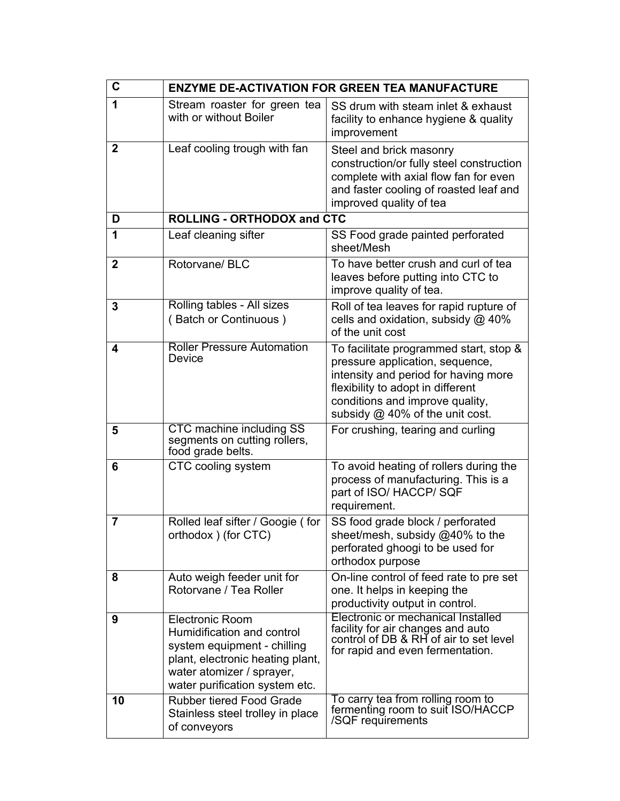| C              |                                                                                                                                                                                        | <b>ENZYME DE-ACTIVATION FOR GREEN TEA MANUFACTURE</b>                                                                                                                                                                        |
|----------------|----------------------------------------------------------------------------------------------------------------------------------------------------------------------------------------|------------------------------------------------------------------------------------------------------------------------------------------------------------------------------------------------------------------------------|
| 1              | Stream roaster for green tea<br>with or without Boiler                                                                                                                                 | SS drum with steam inlet & exhaust<br>facility to enhance hygiene & quality<br>improvement                                                                                                                                   |
| $\mathbf{2}$   | Leaf cooling trough with fan                                                                                                                                                           | Steel and brick masonry<br>construction/or fully steel construction<br>complete with axial flow fan for even<br>and faster cooling of roasted leaf and<br>improved quality of tea                                            |
| D              | <b>ROLLING - ORTHODOX and CTC</b>                                                                                                                                                      |                                                                                                                                                                                                                              |
| 1              | Leaf cleaning sifter                                                                                                                                                                   | SS Food grade painted perforated<br>sheet/Mesh                                                                                                                                                                               |
| $\mathbf{2}$   | Rotorvane/BLC                                                                                                                                                                          | To have better crush and curl of tea<br>leaves before putting into CTC to<br>improve quality of tea.                                                                                                                         |
| 3              | Rolling tables - All sizes<br>(Batch or Continuous)                                                                                                                                    | Roll of tea leaves for rapid rupture of<br>cells and oxidation, subsidy $@$ 40%<br>of the unit cost                                                                                                                          |
| 4              | <b>Roller Pressure Automation</b><br>Device                                                                                                                                            | To facilitate programmed start, stop &<br>pressure application, sequence,<br>intensity and period for having more<br>flexibility to adopt in different<br>conditions and improve quality,<br>subsidy @ 40% of the unit cost. |
| 5              | CTC machine including SS<br>segments on cutting rollers,<br>food grade belts.                                                                                                          | For crushing, tearing and curling                                                                                                                                                                                            |
| 6              | CTC cooling system                                                                                                                                                                     | To avoid heating of rollers during the<br>process of manufacturing. This is a<br>part of ISO/ HACCP/ SQF<br>requirement.                                                                                                     |
| $\overline{7}$ | Rolled leaf sifter / Googie (for<br>orthodox) (for CTC)                                                                                                                                | SS food grade block / perforated<br>sheet/mesh, subsidy @40% to the<br>perforated ghoogi to be used for<br>orthodox purpose                                                                                                  |
| 8              | Auto weigh feeder unit for<br>Rotorvane / Tea Roller                                                                                                                                   | On-line control of feed rate to pre set<br>one. It helps in keeping the<br>productivity output in control.                                                                                                                   |
| 9              | <b>Electronic Room</b><br>Humidification and control<br>system equipment - chilling<br>plant, electronic heating plant,<br>water atomizer / sprayer,<br>water purification system etc. | Electronic or mechanical Installed<br>facility for air changes and auto<br>control of DB & RH of air to set level<br>for rapid and even fermentation.                                                                        |
| 10             | <b>Rubber tiered Food Grade</b><br>Stainless steel trolley in place<br>of conveyors                                                                                                    | To carry tea from rolling room to<br>fermenting room to suit ISO/HACCP<br>/SQF requirements                                                                                                                                  |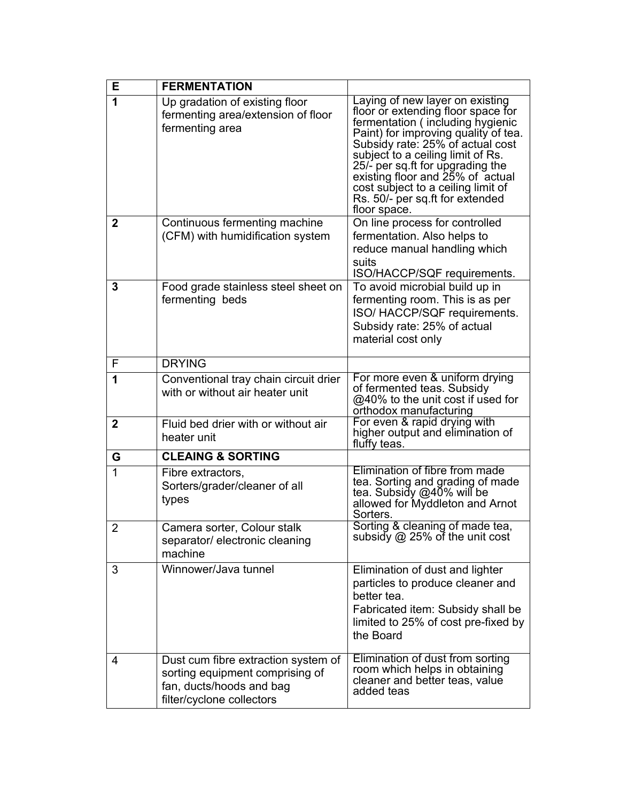| E            | <b>FERMENTATION</b>                                                                                                             |                                                                                                                                                                                                                                                                                                                                                                                             |
|--------------|---------------------------------------------------------------------------------------------------------------------------------|---------------------------------------------------------------------------------------------------------------------------------------------------------------------------------------------------------------------------------------------------------------------------------------------------------------------------------------------------------------------------------------------|
| 1            | Up gradation of existing floor<br>fermenting area/extension of floor<br>fermenting area                                         | Laying of new layer on existing<br>floor or extending floor space for<br>fermentation (including hygienic<br>Paint) for improving quality of tea.<br>Subsidy rate: 25% of actual cost<br>subject to a ceiling limit of Rs.<br>25/- per sq.ft for upgrading the<br>existing floor and 25% of actual<br>cost subject to a ceiling limit of<br>Rs. 50/- per sq.ft for extended<br>floor space. |
| $\mathbf{2}$ | Continuous fermenting machine<br>(CFM) with humidification system                                                               | On line process for controlled<br>fermentation. Also helps to<br>reduce manual handling which<br>suits<br>ISO/HACCP/SQF requirements.                                                                                                                                                                                                                                                       |
| 3            | Food grade stainless steel sheet on<br>fermenting beds                                                                          | To avoid microbial build up in<br>fermenting room. This is as per<br>ISO/HACCP/SQF requirements.<br>Subsidy rate: 25% of actual<br>material cost only                                                                                                                                                                                                                                       |
| F            | <b>DRYING</b>                                                                                                                   |                                                                                                                                                                                                                                                                                                                                                                                             |
| 1            | Conventional tray chain circuit drier<br>with or without air heater unit                                                        | For more even & uniform drying<br>of fermented teas. Subsidy<br>@40% to the unit cost if used for<br>orthodox manufacturing                                                                                                                                                                                                                                                                 |
| $\mathbf{2}$ | Fluid bed drier with or without air<br>heater unit                                                                              | For even & rapid drying with<br>higher output and elimination of<br>fluffy teas.                                                                                                                                                                                                                                                                                                            |
| G            | <b>CLEAING &amp; SORTING</b>                                                                                                    |                                                                                                                                                                                                                                                                                                                                                                                             |
| 1            | Fibre extractors,<br>Sorters/grader/cleaner of all<br>types                                                                     | Elimination of fibre from made<br>tea. Sorting and grading of made<br>tea. Subsidy @40% will be<br>allowed for Myddleton and Arnot<br>Sorters.                                                                                                                                                                                                                                              |
| $\mathcal P$ | Camera sorter, Colour stalk<br>separator/ electronic cleaning<br>machine                                                        | Sorting & cleaning of made tea,<br>subsidy @ 25% of the unit cost                                                                                                                                                                                                                                                                                                                           |
| 3            | Winnower/Java tunnel                                                                                                            | Elimination of dust and lighter<br>particles to produce cleaner and<br>better tea.<br>Fabricated item: Subsidy shall be<br>limited to 25% of cost pre-fixed by<br>the Board                                                                                                                                                                                                                 |
| 4            | Dust cum fibre extraction system of<br>sorting equipment comprising of<br>fan, ducts/hoods and bag<br>filter/cyclone collectors | Elimination of dust from sorting<br>room which helps in obtaining<br>cleaner and better teas, value<br>added teas                                                                                                                                                                                                                                                                           |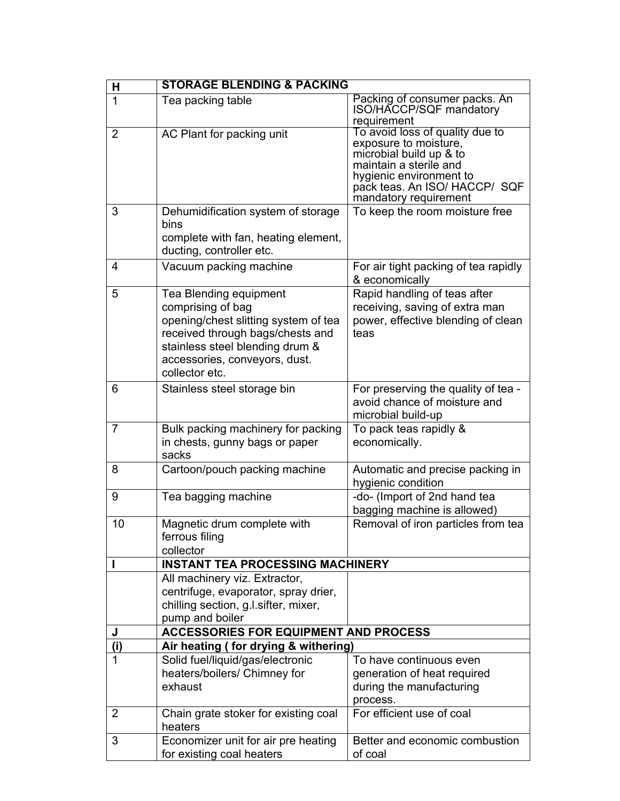| H              | <b>STORAGE BLENDING &amp; PACKING</b>                                                                                                                                                                         |                                                                                                                                                                                                    |
|----------------|---------------------------------------------------------------------------------------------------------------------------------------------------------------------------------------------------------------|----------------------------------------------------------------------------------------------------------------------------------------------------------------------------------------------------|
| $\mathbf 1$    | Tea packing table                                                                                                                                                                                             | Packing of consumer packs. An<br>ISO/HACCP/SQF mandatory<br>requirement                                                                                                                            |
| 2              | AC Plant for packing unit                                                                                                                                                                                     | To avoid loss of quality due to<br>exposure to moisture,<br>microbial build up & to<br>maintain a sterile and<br>hygienic environment to<br>pack teas. An ISO/ HACCP/ SQF<br>mandatory requirement |
| 3              | Dehumidification system of storage<br>bins<br>complete with fan, heating element,<br>ducting, controller etc.                                                                                                 | To keep the room moisture free                                                                                                                                                                     |
| 4              | Vacuum packing machine                                                                                                                                                                                        | For air tight packing of tea rapidly<br>& economically                                                                                                                                             |
| 5              | Tea Blending equipment<br>comprising of bag<br>opening/chest slitting system of tea<br>received through bags/chests and<br>stainless steel blending drum &<br>accessories, conveyors, dust.<br>collector etc. | Rapid handling of teas after<br>receiving, saving of extra man<br>power, effective blending of clean<br>teas                                                                                       |
| 6              | Stainless steel storage bin                                                                                                                                                                                   | For preserving the quality of tea -<br>avoid chance of moisture and<br>microbial build-up                                                                                                          |
| $\overline{7}$ | Bulk packing machinery for packing<br>in chests, gunny bags or paper<br>sacks                                                                                                                                 | To pack teas rapidly &<br>economically.                                                                                                                                                            |
| 8              | Cartoon/pouch packing machine                                                                                                                                                                                 | Automatic and precise packing in<br>hygienic condition                                                                                                                                             |
| 9              | Tea bagging machine                                                                                                                                                                                           | -do- (Import of 2nd hand tea<br>bagging machine is allowed)                                                                                                                                        |
| 10             | Magnetic drum complete with<br>ferrous filing<br>collector                                                                                                                                                    | Removal of iron particles from tea                                                                                                                                                                 |
|                | <b>INSTANT TEA PROCESSING MACHINERY</b>                                                                                                                                                                       |                                                                                                                                                                                                    |
|                | All machinery viz. Extractor,<br>centrifuge, evaporator, spray drier,<br>chilling section, g.l.sifter, mixer,<br>pump and boiler                                                                              |                                                                                                                                                                                                    |
| J              | <b>ACCESSORIES FOR EQUIPMENT AND PROCESS</b>                                                                                                                                                                  |                                                                                                                                                                                                    |
| (i)            | Air heating (for drying & withering)                                                                                                                                                                          |                                                                                                                                                                                                    |
| 1              | Solid fuel/liquid/gas/electronic<br>heaters/boilers/ Chimney for<br>exhaust                                                                                                                                   | To have continuous even<br>generation of heat required<br>during the manufacturing<br>process.                                                                                                     |
| $\overline{2}$ | Chain grate stoker for existing coal<br>heaters                                                                                                                                                               | For efficient use of coal                                                                                                                                                                          |
| 3              | Economizer unit for air pre heating<br>for existing coal heaters                                                                                                                                              | Better and economic combustion<br>of coal                                                                                                                                                          |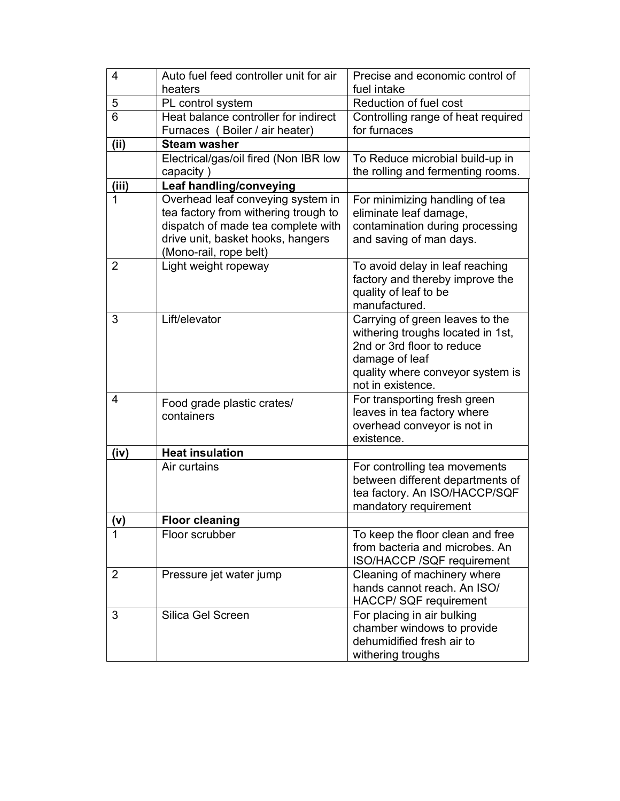| $\overline{4}$ | Auto fuel feed controller unit for air<br>heaters                                                                                                                              | Precise and economic control of<br>fuel intake                                                                                                                                |
|----------------|--------------------------------------------------------------------------------------------------------------------------------------------------------------------------------|-------------------------------------------------------------------------------------------------------------------------------------------------------------------------------|
| 5              | PL control system                                                                                                                                                              | Reduction of fuel cost                                                                                                                                                        |
| 6              | Heat balance controller for indirect<br>Furnaces (Boiler / air heater)                                                                                                         | Controlling range of heat required<br>for furnaces                                                                                                                            |
| (ii)           | <b>Steam washer</b>                                                                                                                                                            |                                                                                                                                                                               |
|                | Electrical/gas/oil fired (Non IBR low<br>capacity)                                                                                                                             | To Reduce microbial build-up in<br>the rolling and fermenting rooms.                                                                                                          |
| (iii)          | Leaf handling/conveying                                                                                                                                                        |                                                                                                                                                                               |
| 1              | Overhead leaf conveying system in<br>tea factory from withering trough to<br>dispatch of made tea complete with<br>drive unit, basket hooks, hangers<br>(Mono-rail, rope belt) | For minimizing handling of tea<br>eliminate leaf damage,<br>contamination during processing<br>and saving of man days.                                                        |
| $\overline{2}$ | Light weight ropeway                                                                                                                                                           | To avoid delay in leaf reaching<br>factory and thereby improve the<br>quality of leaf to be<br>manufactured.                                                                  |
| 3              | Lift/elevator                                                                                                                                                                  | Carrying of green leaves to the<br>withering troughs located in 1st,<br>2nd or 3rd floor to reduce<br>damage of leaf<br>quality where conveyor system is<br>not in existence. |
| 4              | Food grade plastic crates/<br>containers                                                                                                                                       | For transporting fresh green<br>leaves in tea factory where<br>overhead conveyor is not in<br>existence.                                                                      |
| (iv)           | <b>Heat insulation</b>                                                                                                                                                         |                                                                                                                                                                               |
|                | Air curtains                                                                                                                                                                   | For controlling tea movements<br>between different departments of<br>tea factory. An ISO/HACCP/SQF<br>mandatory requirement                                                   |
| (v)            | <b>Floor cleaning</b>                                                                                                                                                          |                                                                                                                                                                               |
| 1              | Floor scrubber                                                                                                                                                                 | To keep the floor clean and free<br>from bacteria and microbes. An<br>ISO/HACCP /SQF requirement                                                                              |
| $\overline{2}$ | Pressure jet water jump                                                                                                                                                        | Cleaning of machinery where<br>hands cannot reach. An ISO/<br>HACCP/ SQF requirement                                                                                          |
| 3              | Silica Gel Screen                                                                                                                                                              | For placing in air bulking<br>chamber windows to provide<br>dehumidified fresh air to<br>withering troughs                                                                    |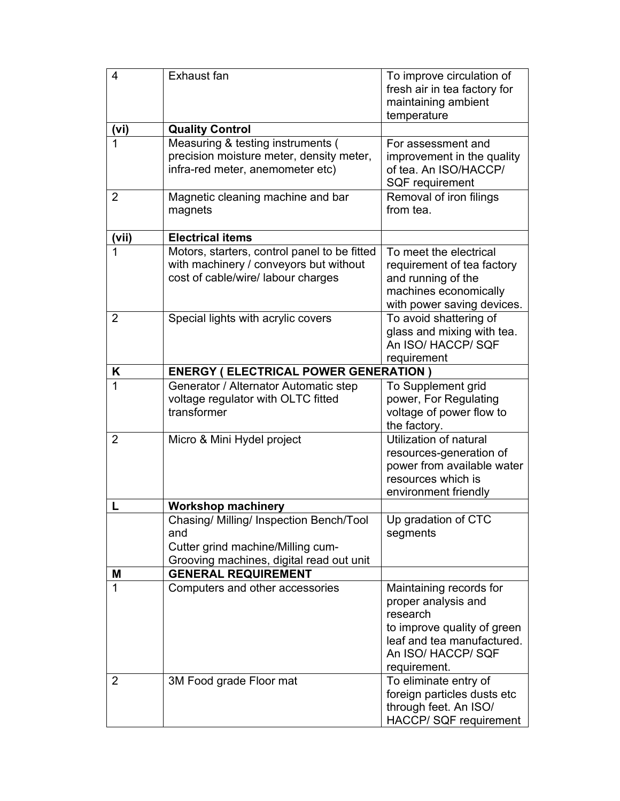| 4              | Exhaust fan                                                                                                                     | To improve circulation of<br>fresh air in tea factory for<br>maintaining ambient<br>temperature                                                               |
|----------------|---------------------------------------------------------------------------------------------------------------------------------|---------------------------------------------------------------------------------------------------------------------------------------------------------------|
| (vi)           | <b>Quality Control</b>                                                                                                          |                                                                                                                                                               |
| 1              | Measuring & testing instruments (<br>precision moisture meter, density meter,<br>infra-red meter, anemometer etc)               | For assessment and<br>improvement in the quality<br>of tea. An ISO/HACCP/<br>SQF requirement                                                                  |
| $\overline{2}$ | Magnetic cleaning machine and bar<br>magnets                                                                                    | Removal of iron filings<br>from tea.                                                                                                                          |
| (vii)          | <b>Electrical items</b>                                                                                                         |                                                                                                                                                               |
| 1              | Motors, starters, control panel to be fitted<br>with machinery / conveyors but without<br>cost of cable/wire/ labour charges    | To meet the electrical<br>requirement of tea factory<br>and running of the<br>machines economically<br>with power saving devices.                             |
| $\overline{2}$ | Special lights with acrylic covers                                                                                              | To avoid shattering of<br>glass and mixing with tea.<br>An ISO/ HACCP/ SQF<br>requirement                                                                     |
| K              | <b>ENERGY (ELECTRICAL POWER GENERATION)</b>                                                                                     |                                                                                                                                                               |
| 1              | Generator / Alternator Automatic step<br>voltage regulator with OLTC fitted<br>transformer                                      | To Supplement grid<br>power, For Regulating<br>voltage of power flow to<br>the factory.                                                                       |
| $\overline{2}$ | Micro & Mini Hydel project                                                                                                      | Utilization of natural<br>resources-generation of<br>power from available water<br>resources which is<br>environment friendly                                 |
|                | <b>Workshop machinery</b>                                                                                                       |                                                                                                                                                               |
|                | Chasing/ Milling/ Inspection Bench/Tool<br>and<br>Cutter grind machine/Milling cum-<br>Grooving machines, digital read out unit | Up gradation of CTC<br>segments                                                                                                                               |
| M              | <b>GENERAL REQUIREMENT</b>                                                                                                      |                                                                                                                                                               |
| 1              | Computers and other accessories                                                                                                 | Maintaining records for<br>proper analysis and<br>research<br>to improve quality of green<br>leaf and tea manufactured.<br>An ISO/ HACCP/ SQF<br>requirement. |
| $\overline{2}$ | 3M Food grade Floor mat                                                                                                         | To eliminate entry of<br>foreign particles dusts etc<br>through feet. An ISO/<br>HACCP/ SQF requirement                                                       |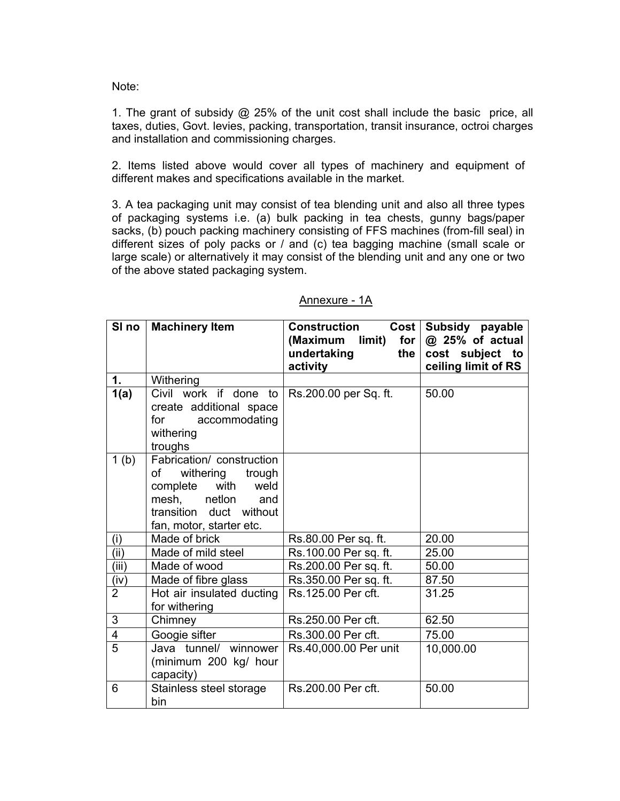Note:

1. The grant of subsidy @ 25% of the unit cost shall include the basic price, all taxes, duties, Govt. levies, packing, transportation, transit insurance, octroi charges and installation and commissioning charges.

2. Items listed above would cover all types of machinery and equipment of different makes and specifications available in the market.

3. A tea packaging unit may consist of tea blending unit and also all three types of packaging systems i.e. (a) bulk packing in tea chests, gunny bags/paper sacks, (b) pouch packing machinery consisting of FFS machines (from-fill seal) in different sizes of poly packs or / and (c) tea bagging machine (small scale or large scale) or alternatively it may consist of the blending unit and any one or two of the above stated packaging system.

|                         | SI no   Machinery Item    | <b>Construction</b><br>$Cost \mid$ | Subsidy payable     |
|-------------------------|---------------------------|------------------------------------|---------------------|
|                         |                           | (Maximum<br>limit)<br>for          | @ 25% of actual     |
|                         |                           | undertaking<br>the                 | cost subject to     |
|                         |                           | activity                           | ceiling limit of RS |
| 1.                      | Withering                 |                                    |                     |
| 1(a)                    | Civil work if done to     | Rs.200.00 per Sq. ft.              | 50.00               |
|                         | create additional space   |                                    |                     |
|                         | for<br>accommodating      |                                    |                     |
|                         | withering                 |                                    |                     |
|                         | troughs                   |                                    |                     |
| 1 <sub>(b)</sub>        | Fabrication/ construction |                                    |                     |
|                         | withering<br>trough<br>of |                                    |                     |
|                         | complete with<br>weld     |                                    |                     |
|                         | mesh, netlon<br>and       |                                    |                     |
|                         | transition duct without   |                                    |                     |
|                         | fan, motor, starter etc.  |                                    |                     |
| (i)                     | Made of brick             | Rs.80.00 Per sq. ft.               | 20.00               |
| (ii)                    | Made of mild steel        | Rs.100.00 Per sq. ft.              | 25.00               |
| (iii)                   | Made of wood              | Rs.200.00 Per sq. ft.              | 50.00               |
| (iv)                    | Made of fibre glass       | Rs.350.00 Per sq. ft.              | 87.50               |
| $\overline{2}$          | Hot air insulated ducting | Rs.125.00 Per cft.                 | 31.25               |
|                         | for withering             |                                    |                     |
| 3                       | Chimney                   | Rs.250.00 Per cft.                 | 62.50               |
| $\overline{\mathbf{4}}$ | Googie sifter             | Rs.300.00 Per cft.                 | 75.00               |
| 5                       | Java tunnel/ winnower     | Rs.40,000.00 Per unit              | 10,000.00           |
|                         | (minimum 200 kg/ hour     |                                    |                     |
|                         | capacity)                 |                                    |                     |
| 6                       | Stainless steel storage   | Rs.200.00 Per cft.                 | 50.00               |
|                         | bin                       |                                    |                     |

# Annexure - 1A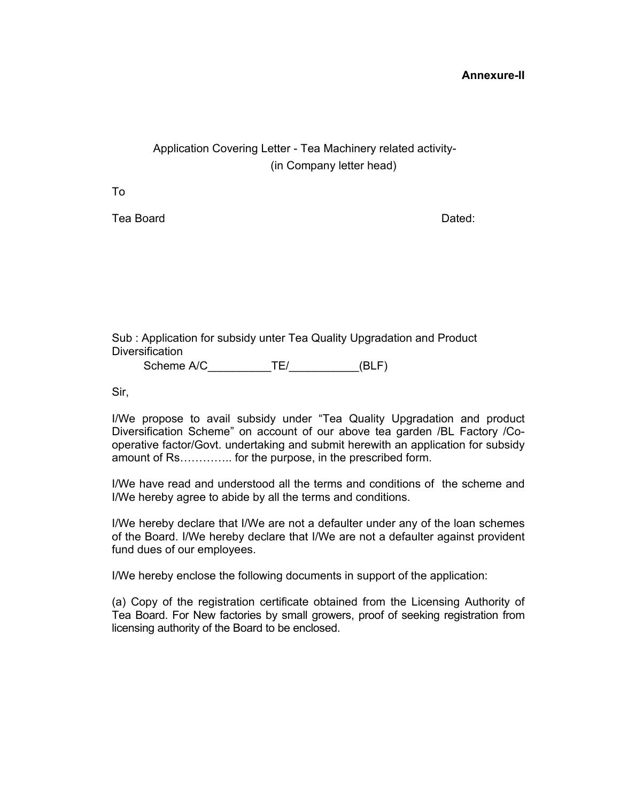#### **Annexure-II**

# Application Covering Letter - Tea Machinery related activity- (in Company letter head)

To

Tea Board **Dated: Dated: Dated: Dated: Dated: Dated: Dated: Dated: Dated: Dated: Dated: Dated: Dated: Dated: Dated: Dated: Dated: Dated: Dated: Dated: Dated: Dated: Dated: Date** 

Sub : Application for subsidy unter Tea Quality Upgradation and Product **Diversification** 

Scheme A/C \_\_\_\_\_\_\_\_\_\_\_\_\_\_\_\_\_\_\_\_\_\_\_\_\_\_\_\_\_\_\_\_\_\_(BLF)

Sir,

I/We propose to avail subsidy under "Tea Quality Upgradation and product Diversification Scheme" on account of our above tea garden /BL Factory /Cooperative factor/Govt. undertaking and submit herewith an application for subsidy amount of Rs………….. for the purpose, in the prescribed form.

I/We have read and understood all the terms and conditions of the scheme and I/We hereby agree to abide by all the terms and conditions.

I/We hereby declare that I/We are not a defaulter under any of the loan schemes of the Board. I/We hereby declare that I/We are not a defaulter against provident fund dues of our employees.

I/We hereby enclose the following documents in support of the application:

(a) Copy of the registration certificate obtained from the Licensing Authority of Tea Board. For New factories by small growers, proof of seeking registration from licensing authority of the Board to be enclosed.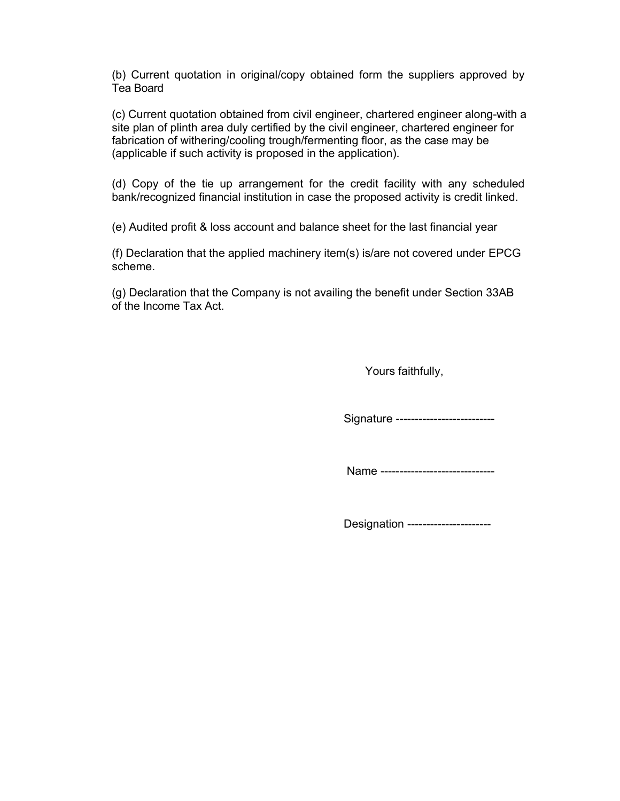(b) Current quotation in original/copy obtained form the suppliers approved by Tea Board

(c) Current quotation obtained from civil engineer, chartered engineer along-with a site plan of plinth area duly certified by the civil engineer, chartered engineer for fabrication of withering/cooling trough/fermenting floor, as the case may be (applicable if such activity is proposed in the application).

(d) Copy of the tie up arrangement for the credit facility with any scheduled bank/recognized financial institution in case the proposed activity is credit linked.

(e) Audited profit & loss account and balance sheet for the last financial year

(f) Declaration that the applied machinery item(s) is/are not covered under EPCG scheme.

(g) Declaration that the Company is not availing the benefit under Section 33AB of the Income Tax Act.

Yours faithfully,

Signature ---------------------------

Name -------------------------------

Designation ----------------------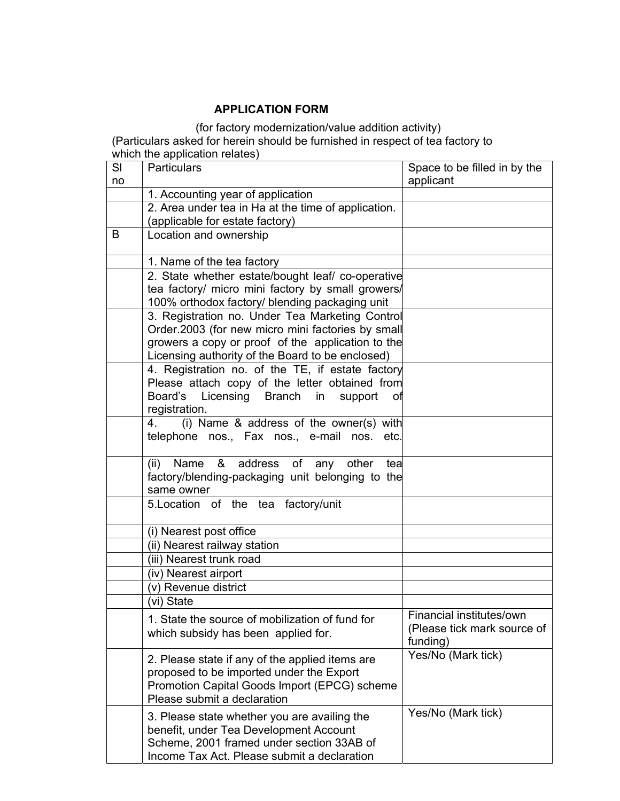# **APPLICATION FORM**

(for factory modernization/value addition activity) (Particulars asked for herein should be furnished in respect of tea factory to which the application relates)

| SI | <b>Particulars</b>                                                                                     | Space to be filled in by the            |
|----|--------------------------------------------------------------------------------------------------------|-----------------------------------------|
| no |                                                                                                        | applicant                               |
|    | 1. Accounting year of application                                                                      |                                         |
|    | 2. Area under tea in Ha at the time of application.                                                    |                                         |
|    | (applicable for estate factory)                                                                        |                                         |
| B  | Location and ownership                                                                                 |                                         |
|    |                                                                                                        |                                         |
|    | 1. Name of the tea factory                                                                             |                                         |
|    | 2. State whether estate/bought leaf/ co-operative<br>tea factory/ micro mini factory by small growers/ |                                         |
|    | 100% orthodox factory/ blending packaging unit                                                         |                                         |
|    | 3. Registration no. Under Tea Marketing Control                                                        |                                         |
|    | Order.2003 (for new micro mini factories by small                                                      |                                         |
|    | growers a copy or proof of the application to the                                                      |                                         |
|    | Licensing authority of the Board to be enclosed)                                                       |                                         |
|    | 4. Registration no. of the TE, if estate factory                                                       |                                         |
|    | Please attach copy of the letter obtained from                                                         |                                         |
|    | Board's Licensing Branch in<br>support<br>оf                                                           |                                         |
|    | registration.                                                                                          |                                         |
|    | (i) Name & address of the owner(s) with<br>4.                                                          |                                         |
|    | telephone nos., Fax nos., e-mail nos. etc.                                                             |                                         |
|    |                                                                                                        |                                         |
|    | address of<br>Name<br>&<br>(ii)<br>any other<br>tea                                                    |                                         |
|    | factory/blending-packaging unit belonging to the                                                       |                                         |
|    | same owner                                                                                             |                                         |
|    | 5. Location of the tea factory/unit                                                                    |                                         |
|    |                                                                                                        |                                         |
|    | (i) Nearest post office                                                                                |                                         |
|    | (ii) Nearest railway station                                                                           |                                         |
|    | (iii) Nearest trunk road                                                                               |                                         |
|    | (iv) Nearest airport                                                                                   |                                         |
|    | (v) Revenue district                                                                                   |                                         |
|    | (vi) State                                                                                             |                                         |
|    | 1. State the source of mobilization of fund for                                                        | Financial institutes/own                |
|    | which subsidy has been applied for.                                                                    | (Please tick mark source of<br>funding) |
|    |                                                                                                        | Yes/No (Mark tick)                      |
|    | 2. Please state if any of the applied items are                                                        |                                         |
|    | proposed to be imported under the Export                                                               |                                         |
|    | Promotion Capital Goods Import (EPCG) scheme                                                           |                                         |
|    | Please submit a declaration                                                                            |                                         |
|    | 3. Please state whether you are availing the                                                           | Yes/No (Mark tick)                      |
|    | benefit, under Tea Development Account                                                                 |                                         |
|    | Scheme, 2001 framed under section 33AB of                                                              |                                         |
|    | Income Tax Act. Please submit a declaration                                                            |                                         |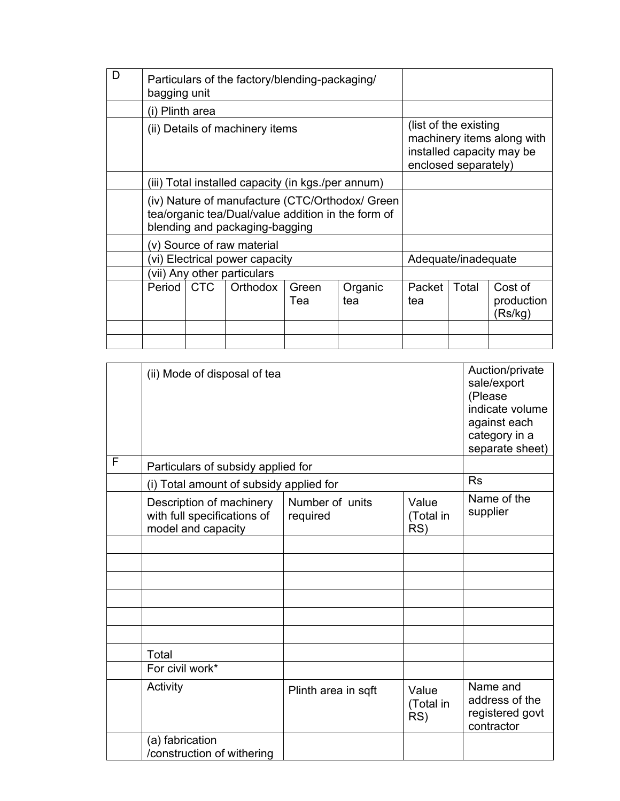| D | Particulars of the factory/blending-packaging/<br>bagging unit                                                                          |       |                                |              |                      |                        |                                                         |                                  |
|---|-----------------------------------------------------------------------------------------------------------------------------------------|-------|--------------------------------|--------------|----------------------|------------------------|---------------------------------------------------------|----------------------------------|
|   | (i) Plinth area                                                                                                                         |       |                                |              |                      |                        |                                                         |                                  |
|   | (ii) Details of machinery items                                                                                                         |       |                                |              | enclosed separately) | (list of the existing) | machinery items along with<br>installed capacity may be |                                  |
|   | (iii) Total installed capacity (in kgs./per annum)                                                                                      |       |                                |              |                      |                        |                                                         |                                  |
|   | (iv) Nature of manufacture (CTC/Orthodox/ Green<br>tea/organic tea/Dual/value addition in the form of<br>blending and packaging-bagging |       |                                |              |                      |                        |                                                         |                                  |
|   |                                                                                                                                         |       | (v) Source of raw material     |              |                      |                        |                                                         |                                  |
|   |                                                                                                                                         |       | (vi) Electrical power capacity |              |                      | Adequate/inadequate    |                                                         |                                  |
|   | (vii) Any other particulars                                                                                                             |       |                                |              |                      |                        |                                                         |                                  |
|   | Period                                                                                                                                  | I CTC | Orthodox                       | Green<br>Tea | Organic<br>tea       | Packet<br>tea          | Total                                                   | Cost of<br>production<br>(Rs/kg) |
|   |                                                                                                                                         |       |                                |              |                      |                        |                                                         |                                  |
|   |                                                                                                                                         |       |                                |              |                      |                        |                                                         |                                  |

|   | (ii) Mode of disposal of tea                                                  | Auction/private<br>sale/export<br>(Please<br>indicate volume<br>against each<br>category in a<br>separate sheet) |                           |                                                             |
|---|-------------------------------------------------------------------------------|------------------------------------------------------------------------------------------------------------------|---------------------------|-------------------------------------------------------------|
| F | Particulars of subsidy applied for                                            |                                                                                                                  |                           |                                                             |
|   | (i) Total amount of subsidy applied for                                       |                                                                                                                  |                           | <b>Rs</b>                                                   |
|   | Description of machinery<br>with full specifications of<br>model and capacity | Number of units<br>required                                                                                      | Value<br>(Total in<br>RS) | Name of the<br>supplier                                     |
|   |                                                                               |                                                                                                                  |                           |                                                             |
|   |                                                                               |                                                                                                                  |                           |                                                             |
|   |                                                                               |                                                                                                                  |                           |                                                             |
|   |                                                                               |                                                                                                                  |                           |                                                             |
|   |                                                                               |                                                                                                                  |                           |                                                             |
|   |                                                                               |                                                                                                                  |                           |                                                             |
|   | Total                                                                         |                                                                                                                  |                           |                                                             |
|   | For civil work*                                                               |                                                                                                                  |                           |                                                             |
|   | Activity                                                                      | Plinth area in sqft                                                                                              | Value<br>(Total in<br>RS) | Name and<br>address of the<br>registered govt<br>contractor |
|   | (a) fabrication<br>/construction of withering                                 |                                                                                                                  |                           |                                                             |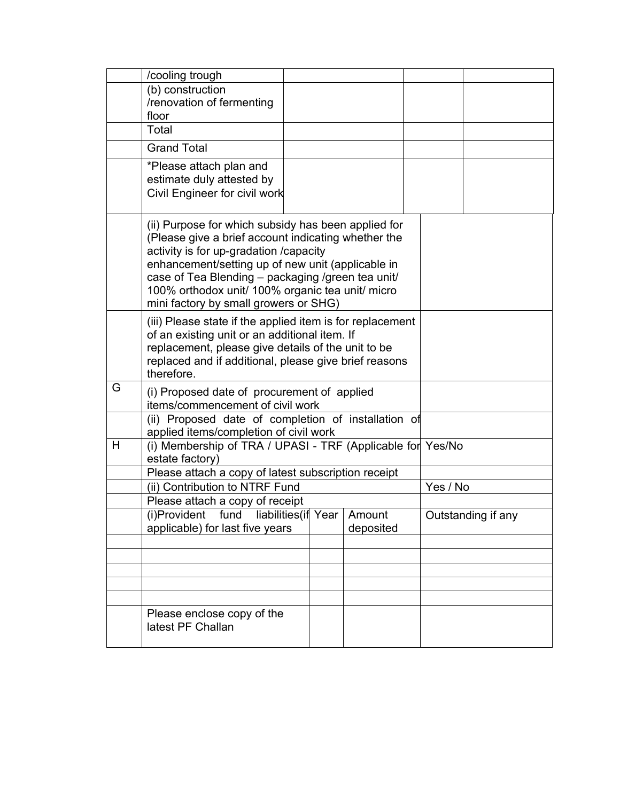|   | /cooling trough                                                                                                                                                                                                                                                                                                                                             |  |           |          |                    |
|---|-------------------------------------------------------------------------------------------------------------------------------------------------------------------------------------------------------------------------------------------------------------------------------------------------------------------------------------------------------------|--|-----------|----------|--------------------|
|   | (b) construction                                                                                                                                                                                                                                                                                                                                            |  |           |          |                    |
|   | /renovation of fermenting                                                                                                                                                                                                                                                                                                                                   |  |           |          |                    |
|   | floor<br>Total                                                                                                                                                                                                                                                                                                                                              |  |           |          |                    |
|   |                                                                                                                                                                                                                                                                                                                                                             |  |           |          |                    |
|   | <b>Grand Total</b>                                                                                                                                                                                                                                                                                                                                          |  |           |          |                    |
|   | *Please attach plan and<br>estimate duly attested by<br>Civil Engineer for civil work                                                                                                                                                                                                                                                                       |  |           |          |                    |
|   |                                                                                                                                                                                                                                                                                                                                                             |  |           |          |                    |
|   | (ii) Purpose for which subsidy has been applied for<br>(Please give a brief account indicating whether the<br>activity is for up-gradation /capacity<br>enhancement/setting up of new unit (applicable in<br>case of Tea Blending - packaging /green tea unit/<br>100% orthodox unit/ 100% organic tea unit/ micro<br>mini factory by small growers or SHG) |  |           |          |                    |
|   | (iii) Please state if the applied item is for replacement<br>of an existing unit or an additional item. If<br>replacement, please give details of the unit to be<br>replaced and if additional, please give brief reasons<br>therefore.                                                                                                                     |  |           |          |                    |
| G | (i) Proposed date of procurement of applied<br>items/commencement of civil work                                                                                                                                                                                                                                                                             |  |           |          |                    |
|   | (ii) Proposed date of completion of installation of<br>applied items/completion of civil work                                                                                                                                                                                                                                                               |  |           |          |                    |
| H | (i) Membership of TRA / UPASI - TRF (Applicable for Yes/No<br>estate factory)                                                                                                                                                                                                                                                                               |  |           |          |                    |
|   | Please attach a copy of latest subscription receipt                                                                                                                                                                                                                                                                                                         |  |           |          |                    |
|   | (ii) Contribution to NTRF Fund                                                                                                                                                                                                                                                                                                                              |  |           | Yes / No |                    |
|   | Please attach a copy of receipt                                                                                                                                                                                                                                                                                                                             |  |           |          |                    |
|   | $(i)$ Provident fund liabilities (if Year Amount                                                                                                                                                                                                                                                                                                            |  |           |          | Outstanding if any |
|   | applicable) for last five years                                                                                                                                                                                                                                                                                                                             |  | deposited |          |                    |
|   |                                                                                                                                                                                                                                                                                                                                                             |  |           |          |                    |
|   |                                                                                                                                                                                                                                                                                                                                                             |  |           |          |                    |
|   |                                                                                                                                                                                                                                                                                                                                                             |  |           |          |                    |
|   |                                                                                                                                                                                                                                                                                                                                                             |  |           |          |                    |
|   | Please enclose copy of the<br>latest PF Challan                                                                                                                                                                                                                                                                                                             |  |           |          |                    |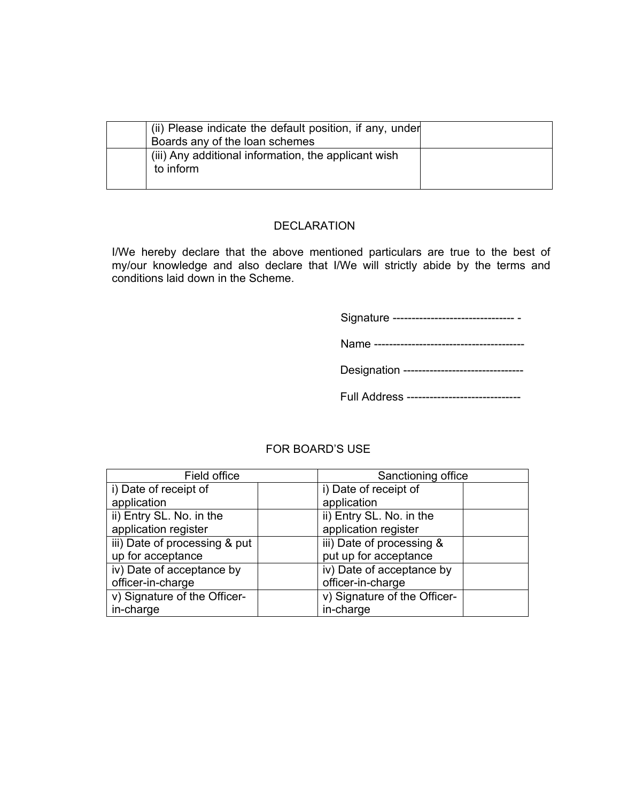| (ii) Please indicate the default position, if any, under<br>Boards any of the loan schemes |  |
|--------------------------------------------------------------------------------------------|--|
| (iii) Any additional information, the applicant wish<br>to inform                          |  |

# DECLARATION

I/We hereby declare that the above mentioned particulars are true to the best of my/our knowledge and also declare that I/We will strictly abide by the terms and conditions laid down in the Scheme.

Signature -------------------------------- -

Name ----------------------------------------

Full Address ------------------------------

# FOR BOARD'S USE

| Field office                  | Sanctioning office           |
|-------------------------------|------------------------------|
| i) Date of receipt of         | i) Date of receipt of        |
| application                   | application                  |
| ii) Entry SL. No. in the      | ii) Entry SL. No. in the     |
| application register          | application register         |
| iii) Date of processing & put | iii) Date of processing &    |
| up for acceptance             | put up for acceptance        |
| iv) Date of acceptance by     | iv) Date of acceptance by    |
| officer-in-charge             | officer-in-charge            |
| v) Signature of the Officer-  | v) Signature of the Officer- |
| in-charge                     | in-charge                    |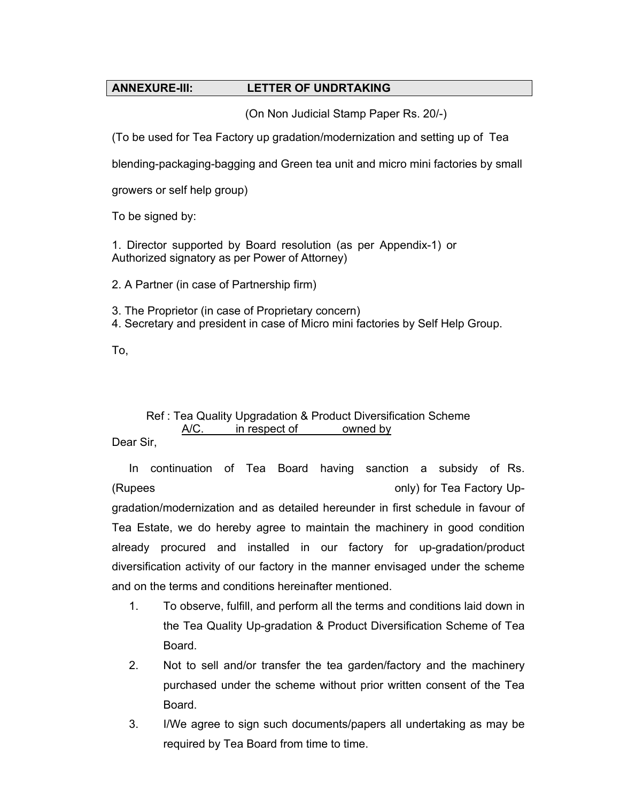# **ANNEXURE-III: LETTER OF UNDRTAKING**

(On Non Judicial Stamp Paper Rs. 20/-)

(To be used for Tea Factory up gradation/modernization and setting up of Tea

blending-packaging-bagging and Green tea unit and micro mini factories by small

growers or self help group)

To be signed by:

1. Director supported by Board resolution (as per Appendix-1) or Authorized signatory as per Power of Attorney)

2. A Partner (in case of Partnership firm)

3. The Proprietor (in case of Proprietary concern)

4. Secretary and president in case of Micro mini factories by Self Help Group.

To,

# Ref : Tea Quality Upgradation & Product Diversification Scheme A/C. in respect of owned by

Dear Sir,

In continuation of Tea Board having sanction a subsidy of Rs. (Rupees only) for Tea Factory Upgradation/modernization and as detailed hereunder in first schedule in favour of Tea Estate, we do hereby agree to maintain the machinery in good condition already procured and installed in our factory for up-gradation/product diversification activity of our factory in the manner envisaged under the scheme and on the terms and conditions hereinafter mentioned.

- 1. To observe, fulfill, and perform all the terms and conditions laid down in the Tea Quality Up-gradation & Product Diversification Scheme of Tea Board.
- 2. Not to sell and/or transfer the tea garden/factory and the machinery purchased under the scheme without prior written consent of the Tea Board.
- 3. I/We agree to sign such documents/papers all undertaking as may be required by Tea Board from time to time.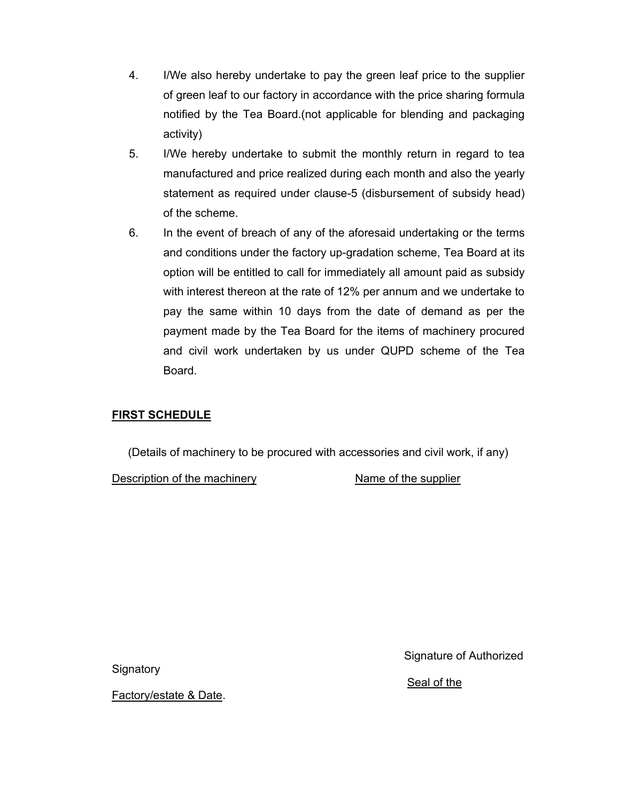- 4. I/We also hereby undertake to pay the green leaf price to the supplier of green leaf to our factory in accordance with the price sharing formula notified by the Tea Board.(not applicable for blending and packaging activity)
- 5. I/We hereby undertake to submit the monthly return in regard to tea manufactured and price realized during each month and also the yearly statement as required under clause-5 (disbursement of subsidy head) of the scheme.
- 6. In the event of breach of any of the aforesaid undertaking or the terms and conditions under the factory up-gradation scheme, Tea Board at its option will be entitled to call for immediately all amount paid as subsidy with interest thereon at the rate of 12% per annum and we undertake to pay the same within 10 days from the date of demand as per the payment made by the Tea Board for the items of machinery procured and civil work undertaken by us under QUPD scheme of the Tea Board.

# **FIRST SCHEDULE**

(Details of machinery to be procured with accessories and civil work, if any)

Description of the machinery Name of the supplier

**Signatory** 

Factory/estate & Date.

Signature of Authorized

# Seal of the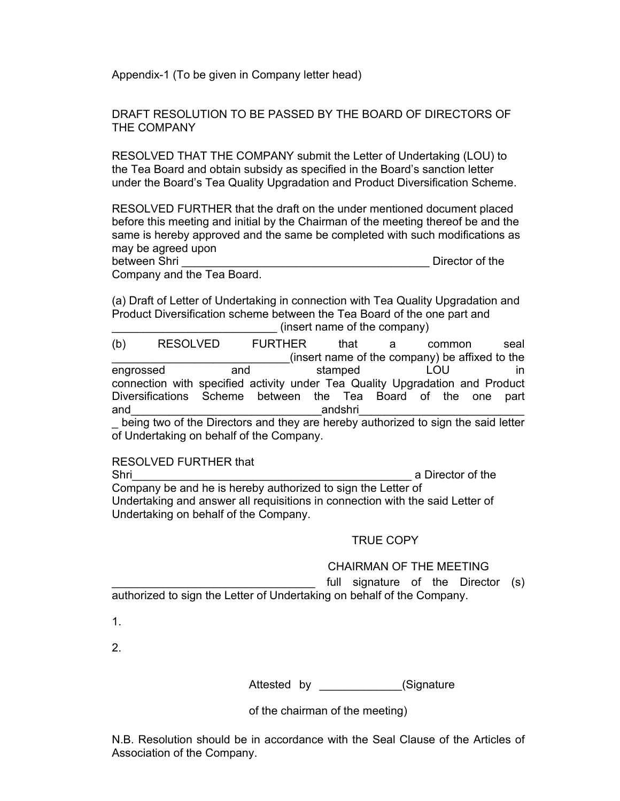Appendix-1 (To be given in Company letter head)

DRAFT RESOLUTION TO BE PASSED BY THE BOARD OF DIRECTORS OF THE COMPANY

RESOLVED THAT THE COMPANY submit the Letter of Undertaking (LOU) to the Tea Board and obtain subsidy as specified in the Board's sanction letter under the Board's Tea Quality Upgradation and Product Diversification Scheme.

RESOLVED FURTHER that the draft on the under mentioned document placed before this meeting and initial by the Chairman of the meeting thereof be and the same is hereby approved and the same be completed with such modifications as may be agreed upon

between Shri **Example 2018 between Shri Example 2018 Director of the Director of the Shrine 2018** Company and the Tea Board.

(a) Draft of Letter of Undertaking in connection with Tea Quality Upgradation and Product Diversification scheme between the Tea Board of the one part and (insert name of the company)

(b) RESOLVED FURTHER that a common seal \_\_\_\_\_\_\_\_\_\_\_\_\_\_\_\_\_\_\_\_\_\_\_\_\_\_\_\_(insert name of the company) be affixed to the engrossed and stamped LOU in connection with specified activity under Tea Quality Upgradation and Product Diversifications Scheme between the Tea Board of the one part and\_\_\_\_\_\_\_\_\_\_\_\_\_\_\_\_\_\_\_\_\_\_\_\_\_\_\_\_\_\_andshri\_\_\_\_\_\_\_\_\_\_\_\_\_\_\_\_\_\_\_\_\_\_\_\_\_\_

being two of the Directors and they are hereby authorized to sign the said letter of Undertaking on behalf of the Company.

RESOLVED FURTHER that

Shri Company be and he is hereby authorized to sign the Letter of Undertaking and answer all requisitions in connection with the said Letter of Undertaking on behalf of the Company.

# TRUE COPY

# CHAIRMAN OF THE MEETING

full signature of the Director (s) authorized to sign the Letter of Undertaking on behalf of the Company.

1.

2.

Attested by **Example 20** (Signature

of the chairman of the meeting)

N.B. Resolution should be in accordance with the Seal Clause of the Articles of Association of the Company.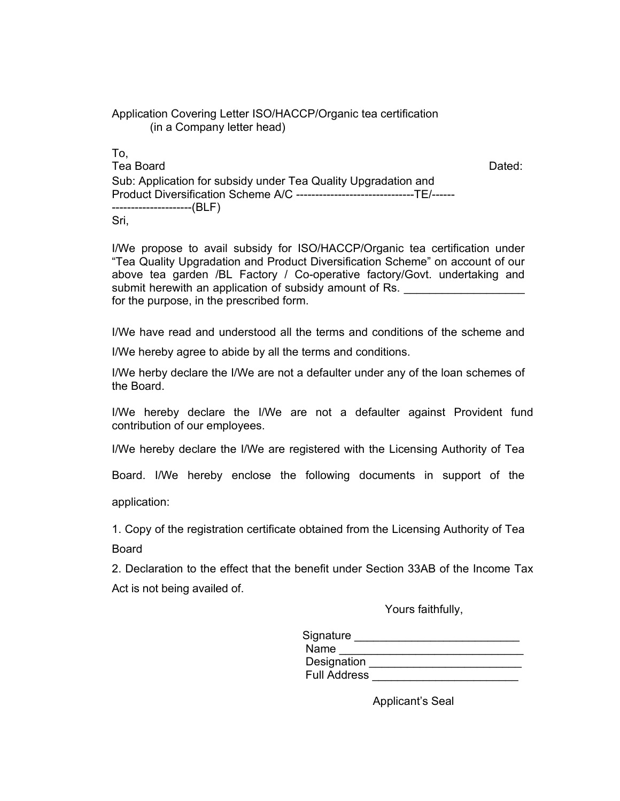| Application Covering Letter ISO/HACCP/Organic tea certification |  |
|-----------------------------------------------------------------|--|
| (in a Company letter head)                                      |  |

To, Tea Board **Dated: Dated: Dated: Dated: Dated: Dated: Dated: Dated: Dated: Dated: Dated: Dated: Dated: Dated: Dated: Dated: Dated: Dated: Dated: Dated: Dated: Dated: Dated: Date** Sub: Application for subsidy under Tea Quality Upgradation and Product Diversification Scheme A/C -------------------------------TE/------ ---------------------(BLF) Sri,

I/We propose to avail subsidy for ISO/HACCP/Organic tea certification under "Tea Quality Upgradation and Product Diversification Scheme" on account of our above tea garden /BL Factory / Co-operative factory/Govt. undertaking and submit herewith an application of subsidy amount of Rs. for the purpose, in the prescribed form.

I/We have read and understood all the terms and conditions of the scheme and I/We hereby agree to abide by all the terms and conditions.

I/We herby declare the I/We are not a defaulter under any of the loan schemes of the Board.

I/We hereby declare the I/We are not a defaulter against Provident fund contribution of our employees.

I/We hereby declare the I/We are registered with the Licensing Authority of Tea

Board. I/We hereby enclose the following documents in support of the

application:

1. Copy of the registration certificate obtained from the Licensing Authority of Tea Board

2. Declaration to the effect that the benefit under Section 33AB of the Income Tax Act is not being availed of.

Yours faithfully,

| Signature           |  |
|---------------------|--|
| Name                |  |
| Designation         |  |
| <b>Full Address</b> |  |

Applicant's Seal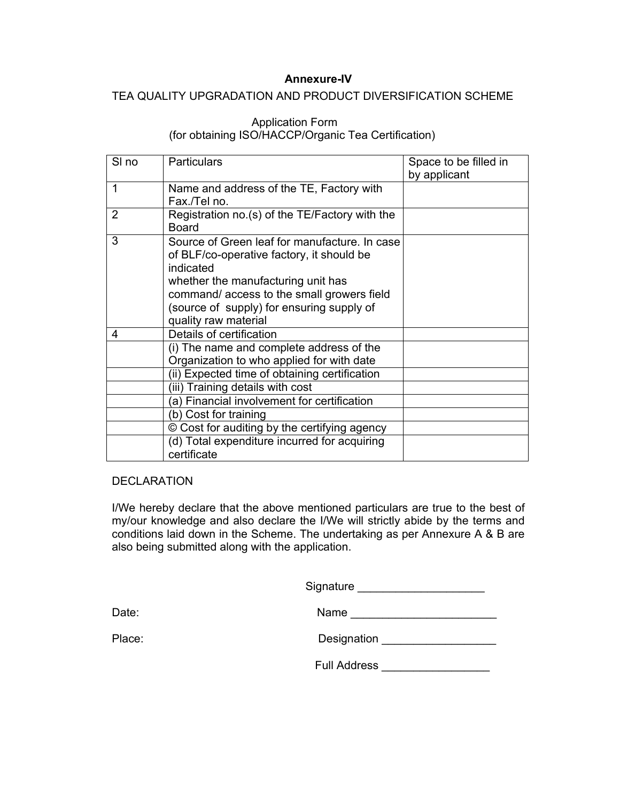# **Annexure-IV**

# TEA QUALITY UPGRADATION AND PRODUCT DIVERSIFICATION SCHEME

# Application Form (for obtaining ISO/HACCP/Organic Tea Certification)

| SI <sub>no</sub> | Particulars                                                                                                                                          | Space to be filled in<br>by applicant |
|------------------|------------------------------------------------------------------------------------------------------------------------------------------------------|---------------------------------------|
| 1                | Name and address of the TE, Factory with<br>Fax./Tel no.                                                                                             |                                       |
| 2                | Registration no.(s) of the TE/Factory with the<br><b>Board</b>                                                                                       |                                       |
| 3                | Source of Green leaf for manufacture. In case<br>of BLF/co-operative factory, it should be<br>indicated                                              |                                       |
|                  | whether the manufacturing unit has<br>command/access to the small growers field<br>(source of supply) for ensuring supply of<br>quality raw material |                                       |
| 4                | Details of certification                                                                                                                             |                                       |
|                  | (i) The name and complete address of the<br>Organization to who applied for with date                                                                |                                       |
|                  | (ii) Expected time of obtaining certification                                                                                                        |                                       |
|                  | (iii) Training details with cost                                                                                                                     |                                       |
|                  | (a) Financial involvement for certification                                                                                                          |                                       |
|                  | (b) Cost for training                                                                                                                                |                                       |
|                  | © Cost for auditing by the certifying agency                                                                                                         |                                       |
|                  | (d) Total expenditure incurred for acquiring<br>certificate                                                                                          |                                       |

#### **DECLARATION**

I/We hereby declare that the above mentioned particulars are true to the best of my/our knowledge and also declare the I/We will strictly abide by the terms and conditions laid down in the Scheme. The undertaking as per Annexure A & B are also being submitted along with the application.

Signature \_\_\_\_\_\_\_\_\_\_\_\_\_\_\_\_\_\_\_\_

Date: Name \_\_\_\_\_\_\_\_\_\_\_\_\_\_\_\_\_\_\_\_\_\_\_

| Place: | Designation |
|--------|-------------|
|        |             |

Full Address \_\_\_\_\_\_\_\_\_\_\_\_\_\_\_\_\_\_\_\_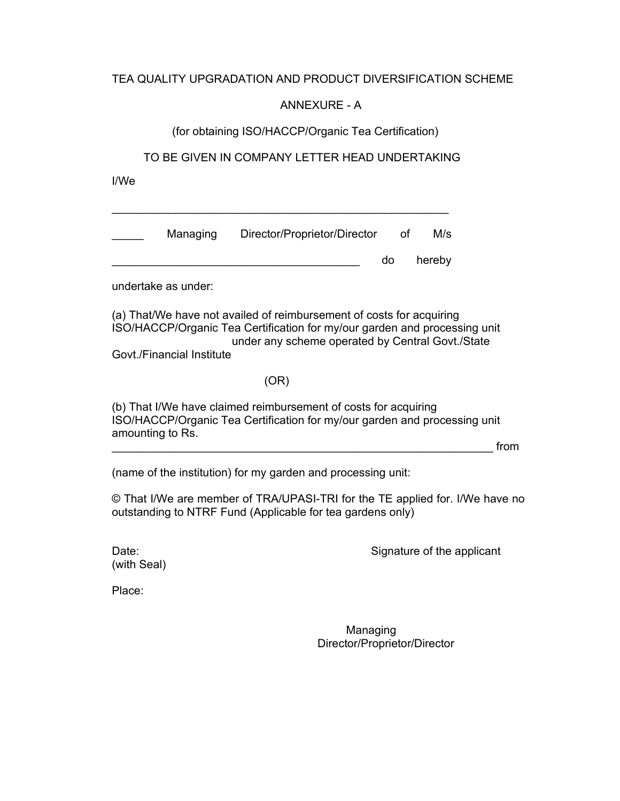# TEA QUALITY UPGRADATION AND PRODUCT DIVERSIFICATION SCHEME

# ANNEXURE - A

(for obtaining ISO/HACCP/Organic Tea Certification)

TO BE GIVEN IN COMPANY LETTER HEAD UNDERTAKING

I/We

| Managing | Director/Proprietor/Director | of        | M/s    |
|----------|------------------------------|-----------|--------|
|          |                              | <b>do</b> | hereby |

\_\_\_\_\_\_\_\_\_\_\_\_\_\_\_\_\_\_\_\_\_\_\_\_\_\_\_\_\_\_\_\_\_\_\_\_\_\_\_\_\_\_\_\_\_\_\_\_\_\_\_\_\_

undertake as under:

(a) That/We have not availed of reimbursement of costs for acquiring ISO/HACCP/Organic Tea Certification for my/our garden and processing unit under any scheme operated by Central Govt./State Govt./Financial Institute

# (OR)

(b) That I/We have claimed reimbursement of costs for acquiring ISO/HACCP/Organic Tea Certification for my/our garden and processing unit amounting to Rs.

 $\blacksquare$  . The contract of the contract of the contract of the contract of the contract of  $\blacksquare$ 

(name of the institution) for my garden and processing unit:

© That I/We are member of TRA/UPASI-TRI for the TE applied for. I/We have no outstanding to NTRF Fund (Applicable for tea gardens only)

Date: Contract the Signature of the applicant

Place:

(with Seal)

 Managing Director/Proprietor/Director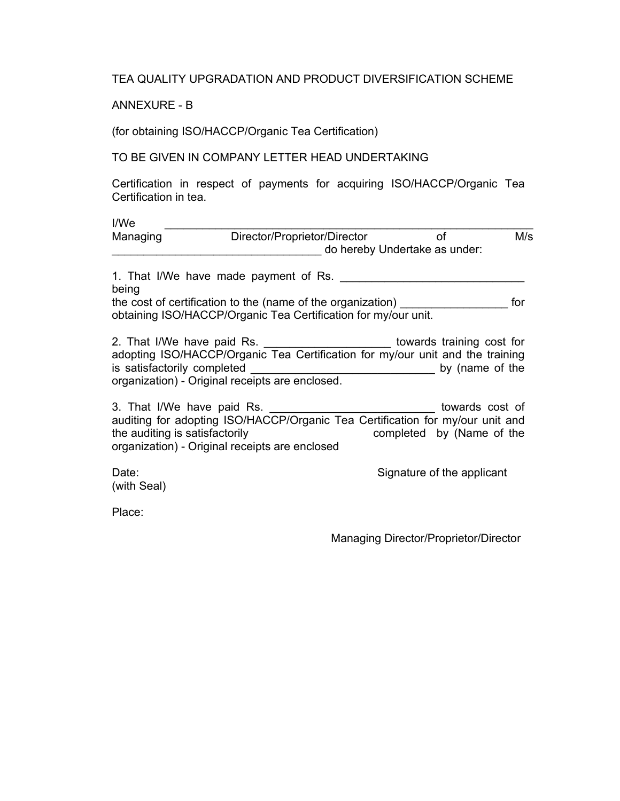TEA QUALITY UPGRADATION AND PRODUCT DIVERSIFICATION SCHEME

ANNEXURE - B

(for obtaining ISO/HACCP/Organic Tea Certification)

# TO BE GIVEN IN COMPANY LETTER HEAD UNDERTAKING

Certification in respect of payments for acquiring ISO/HACCP/Organic Tea Certification in tea.

| I/We                           |                                                                                                                                                                                                                     |                                     |     |
|--------------------------------|---------------------------------------------------------------------------------------------------------------------------------------------------------------------------------------------------------------------|-------------------------------------|-----|
| Managing                       | Director/Proprietor/Director                                                                                                                                                                                        | of<br>do hereby Undertake as under: | M/s |
| being                          | 1. That I/We have made payment of Rs.                                                                                                                                                                               |                                     |     |
|                                | the cost of certification to the (name of the organization)<br>obtaining ISO/HACCP/Organic Tea Certification for my/our unit.                                                                                       |                                     | for |
|                                | 2. That I/We have paid Rs. __________________________ towards training cost for<br>adopting ISO/HACCP/Organic Tea Certification for my/our unit and the training<br>organization) - Original receipts are enclosed. |                                     |     |
| the auditing is satisfactorily | 3. That I/We have paid Rs. _________________________________ towards cost of<br>auditing for adopting ISO/HACCP/Organic Tea Certification for my/our unit and<br>organization) - Original receipts are enclosed     | completed by (Name of the           |     |
| Date:<br>(with Seal)           |                                                                                                                                                                                                                     | Signature of the applicant          |     |

Place:

Managing Director/Proprietor/Director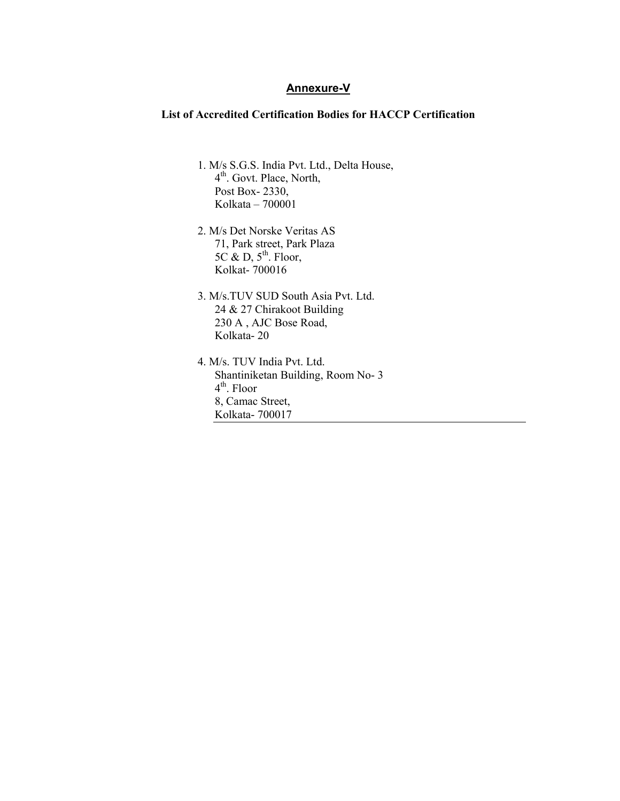#### **Annexure-V**

#### **List of Accredited Certification Bodies for HACCP Certification**

- 1. M/s S.G.S. India Pvt. Ltd., Delta House, 4<sup>th</sup>. Govt. Place, North, Post Box- 2330, Kolkata – 700001
- 2. M/s Det Norske Veritas AS 71, Park street, Park Plaza  $5C \& D, 5<sup>th</sup>$ . Floor, Kolkat- 700016
- 3. M/s.TUV SUD South Asia Pvt. Ltd. 24 & 27 Chirakoot Building 230 A , AJC Bose Road, Kolkata- 20
- 4. M/s. TUV India Pvt. Ltd. Shantiniketan Building, Room No- 3 4th. Floor 8, Camac Street, Kolkata- 700017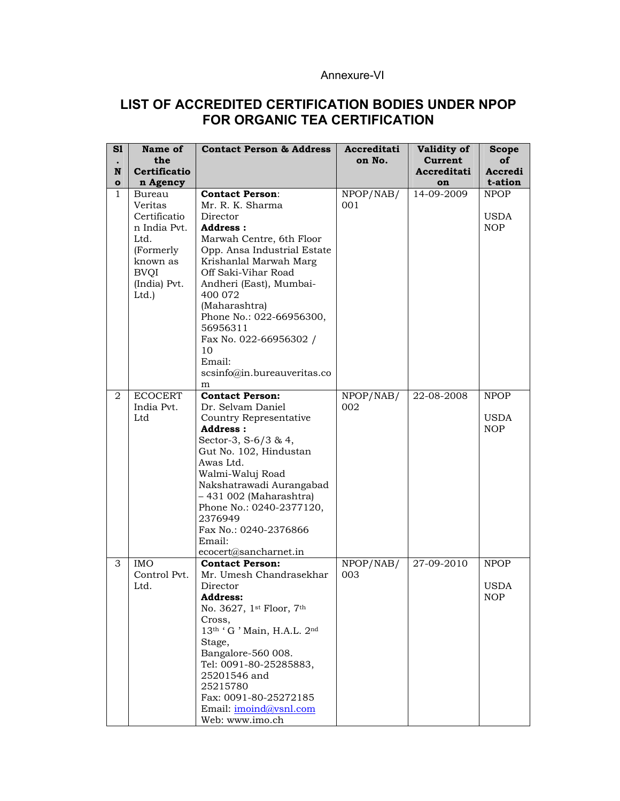# Annexure-VI

# **LIST OF ACCREDITED CERTIFICATION BODIES UNDER NPOP FOR ORGANIC TEA CERTIFICATION**

| S1<br>$\bullet$<br>N<br>$\bullet$ | Name of<br>the<br><b>Certificatio</b>                                                                                                  | <b>Contact Person &amp; Address</b>                                                                                                                                                                                                                                                                                                                                | Accreditati<br>on No. | <b>Validity of</b><br>Current<br>Accreditati<br>on | <b>Scope</b><br>οf<br>Accredi<br>t-ation |
|-----------------------------------|----------------------------------------------------------------------------------------------------------------------------------------|--------------------------------------------------------------------------------------------------------------------------------------------------------------------------------------------------------------------------------------------------------------------------------------------------------------------------------------------------------------------|-----------------------|----------------------------------------------------|------------------------------------------|
| 1                                 | n Agency<br>Bureau<br>Veritas<br>Certificatio<br>n India Pvt.<br>Ltd.<br>(Formerly<br>known as<br><b>BVQI</b><br>(India) Pvt.<br>Ltd.) | <b>Contact Person:</b><br>Mr. R. K. Sharma<br>Director<br><b>Address:</b><br>Marwah Centre, 6th Floor<br>Opp. Ansa Industrial Estate<br>Krishanlal Marwah Marg<br>Off Saki-Vihar Road<br>Andheri (East), Mumbai-<br>400 072<br>(Maharashtra)<br>Phone No.: 022-66956300,<br>56956311<br>Fax No. 022-66956302 /<br>10<br>Email:<br>scsinfo@in.bureauveritas.co<br>m | NPOP/NAB/<br>001      | 14-09-2009                                         | <b>NPOP</b><br><b>USDA</b><br><b>NOP</b> |
| 2                                 | <b>ECOCERT</b><br>India Pvt.<br>Ltd                                                                                                    | <b>Contact Person:</b><br>Dr. Selvam Daniel<br>Country Representative<br>Address:<br>Sector-3, S-6/3 & 4,<br>Gut No. 102, Hindustan<br>Awas Ltd.<br>Walmi-Waluj Road<br>Nakshatrawadi Aurangabad<br>- 431 002 (Maharashtra)<br>Phone No.: 0240-2377120,<br>2376949<br>Fax No.: 0240-2376866<br>Email:<br>ecocert@sancharnet.in                                     | NPOP/NAB/<br>002      | 22-08-2008                                         | NPOP<br>USDA<br><b>NOP</b>               |
| 3                                 | <b>IMO</b><br>Control Pvt.<br>Ltd.                                                                                                     | <b>Contact Person:</b><br>Mr. Umesh Chandrasekhar<br>Director<br><b>Address:</b><br>No. 3627, 1st Floor, 7th<br>Cross,<br>13th ' G ' Main, H.A.L. 2nd<br>Stage,<br>Bangalore-560 008.<br>Tel: 0091-80-25285883,<br>25201546 and<br>25215780<br>Fax: 0091-80-25272185<br>Email: imoind@vsnl.com<br>Web: www.imo.ch                                                  | NPOP/NAB/<br>003      | 27-09-2010                                         | <b>NPOP</b><br><b>USDA</b><br><b>NOP</b> |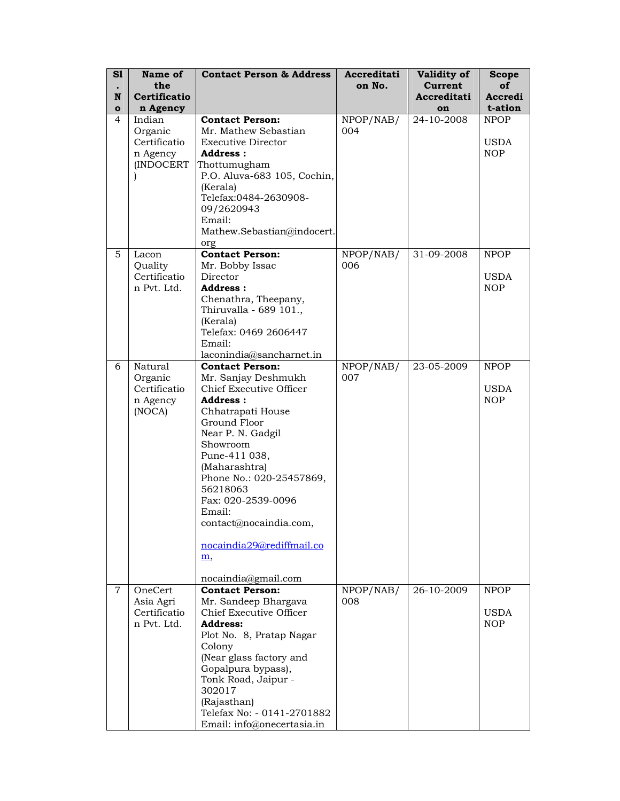| S1             | Name of      | <b>Contact Person &amp; Address</b> | Accreditati | Validity of    | Scope       |
|----------------|--------------|-------------------------------------|-------------|----------------|-------------|
| $\bullet$      | the          |                                     | on No.      | <b>Current</b> | οf          |
| N              | Certificatio |                                     |             | Accreditati    | Accredi     |
| $\bullet$      | n Agency     |                                     |             | on             | t-ation     |
| 4              | Indian       | <b>Contact Person:</b>              | NPOP/NAB/   | 24-10-2008     | <b>NPOP</b> |
|                | Organic      | Mr. Mathew Sebastian                | 004         |                |             |
|                | Certificatio | <b>Executive Director</b>           |             |                | <b>USDA</b> |
|                | n Agency     | Address:                            |             |                | <b>NOP</b>  |
|                | (INDOCERT    | Thottumugham                        |             |                |             |
|                |              | P.O. Aluva-683 105, Cochin,         |             |                |             |
|                |              | (Kerala)                            |             |                |             |
|                |              | Telefax:0484-2630908-               |             |                |             |
|                |              | 09/2620943                          |             |                |             |
|                |              | Email:                              |             |                |             |
|                |              | Mathew.Sebastian@indocert.          |             |                |             |
|                |              |                                     |             |                |             |
| 5              | Lacon        | org<br><b>Contact Person:</b>       | NPOP/NAB/   | 31-09-2008     | <b>NPOP</b> |
|                | Quality      |                                     | 006         |                |             |
|                | Certificatio | Mr. Bobby Issac<br>Director         |             |                | <b>USDA</b> |
|                | n Pvt. Ltd.  | Address:                            |             |                | <b>NOP</b>  |
|                |              | Chenathra, Theepany,                |             |                |             |
|                |              | Thiruvalla - 689 101.,              |             |                |             |
|                |              | (Kerala)                            |             |                |             |
|                |              | Telefax: 0469 2606447               |             |                |             |
|                |              | Email:                              |             |                |             |
|                |              | laconindia@sancharnet.in            |             |                |             |
| 6              | Natural      | <b>Contact Person:</b>              | NPOP/NAB/   | 23-05-2009     | <b>NPOP</b> |
|                | Organic      | Mr. Sanjay Deshmukh                 | 007         |                |             |
|                | Certificatio | Chief Executive Officer             |             |                | USDA        |
|                | n Agency     | Address:                            |             |                | <b>NOP</b>  |
|                | (NOCA)       | Chhatrapati House                   |             |                |             |
|                |              | Ground Floor                        |             |                |             |
|                |              | Near P. N. Gadgil                   |             |                |             |
|                |              | Showroom                            |             |                |             |
|                |              | Pune-411 038,                       |             |                |             |
|                |              | (Maharashtra)                       |             |                |             |
|                |              | Phone No.: 020-25457869,            |             |                |             |
|                |              | 56218063                            |             |                |             |
|                |              | Fax: 020-2539-0096                  |             |                |             |
|                |              | Email:                              |             |                |             |
|                |              | contact@nocaindia.com,              |             |                |             |
|                |              |                                     |             |                |             |
|                |              | nocaindia29@rediffmail.co           |             |                |             |
|                |              | <u>m,</u>                           |             |                |             |
|                |              |                                     |             |                |             |
|                |              | nocaindia@gmail.com                 |             |                |             |
| $\overline{7}$ | OneCert      | <b>Contact Person:</b>              | NPOP/NAB/   | 26-10-2009     | <b>NPOP</b> |
|                | Asia Agri    | Mr. Sandeep Bhargava                | 008         |                |             |
|                | Certificatio | Chief Executive Officer             |             |                | <b>USDA</b> |
|                | n Pvt. Ltd.  | <b>Address:</b>                     |             |                | <b>NOP</b>  |
|                |              | Plot No. 8, Pratap Nagar            |             |                |             |
|                |              | Colony                              |             |                |             |
|                |              | (Near glass factory and             |             |                |             |
|                |              | Gopalpura bypass),                  |             |                |             |
|                |              | Tonk Road, Jaipur -                 |             |                |             |
|                |              | 302017                              |             |                |             |
|                |              | (Rajasthan)                         |             |                |             |
|                |              | Telefax No: - 0141-2701882          |             |                |             |
|                |              | Email: info@onecertasia.in          |             |                |             |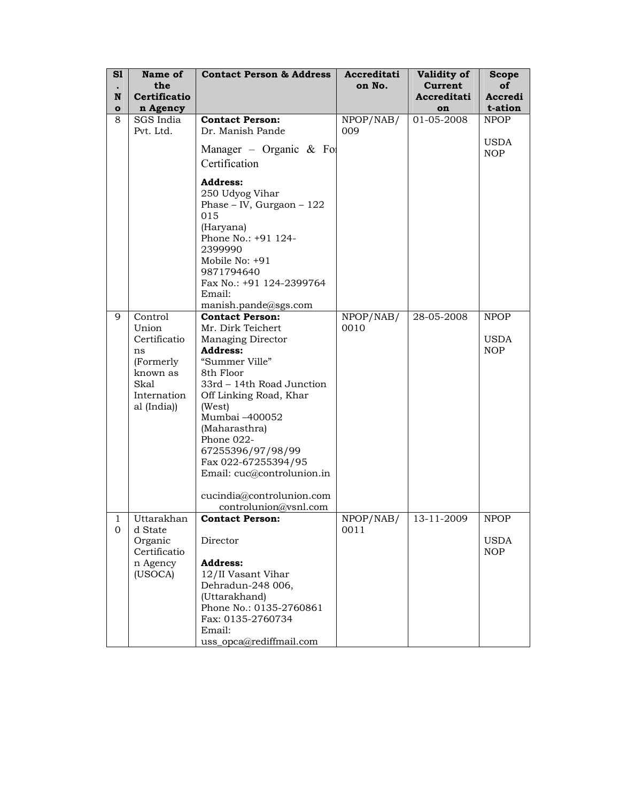| S1                | Name of                                                                                           | <b>Contact Person &amp; Address</b>                                                                                                                                                                                                                                                                                                                              | Accreditati | Validity of            | <b>Scope</b>                     |
|-------------------|---------------------------------------------------------------------------------------------------|------------------------------------------------------------------------------------------------------------------------------------------------------------------------------------------------------------------------------------------------------------------------------------------------------------------------------------------------------------------|-------------|------------------------|----------------------------------|
|                   | the                                                                                               |                                                                                                                                                                                                                                                                                                                                                                  | on No.      | <b>Current</b>         | οf                               |
| N                 | Certificatio                                                                                      |                                                                                                                                                                                                                                                                                                                                                                  |             | Accreditati            | Accredi                          |
| $\mathbf{o}$<br>8 | n Agency<br>SGS India                                                                             | <b>Contact Person:</b>                                                                                                                                                                                                                                                                                                                                           | NPOP/NAB/   | on<br>$01 - 05 - 2008$ | t-ation<br><b>NPOP</b>           |
|                   | Pvt. Ltd.                                                                                         | Dr. Manish Pande                                                                                                                                                                                                                                                                                                                                                 | 009         |                        |                                  |
|                   |                                                                                                   |                                                                                                                                                                                                                                                                                                                                                                  |             |                        | <b>USDA</b>                      |
|                   |                                                                                                   | Manager – Organic $\&$ For                                                                                                                                                                                                                                                                                                                                       |             |                        | <b>NOP</b>                       |
|                   |                                                                                                   | Certification                                                                                                                                                                                                                                                                                                                                                    |             |                        |                                  |
|                   |                                                                                                   | <b>Address:</b>                                                                                                                                                                                                                                                                                                                                                  |             |                        |                                  |
|                   |                                                                                                   | 250 Udyog Vihar                                                                                                                                                                                                                                                                                                                                                  |             |                        |                                  |
|                   |                                                                                                   | Phase - IV, Gurgaon - $122$                                                                                                                                                                                                                                                                                                                                      |             |                        |                                  |
|                   |                                                                                                   | 015<br>(Haryana)                                                                                                                                                                                                                                                                                                                                                 |             |                        |                                  |
|                   |                                                                                                   | Phone No.: +91 124-                                                                                                                                                                                                                                                                                                                                              |             |                        |                                  |
|                   |                                                                                                   | 2399990                                                                                                                                                                                                                                                                                                                                                          |             |                        |                                  |
|                   |                                                                                                   | Mobile No: $+91$                                                                                                                                                                                                                                                                                                                                                 |             |                        |                                  |
|                   |                                                                                                   | 9871794640                                                                                                                                                                                                                                                                                                                                                       |             |                        |                                  |
|                   |                                                                                                   |                                                                                                                                                                                                                                                                                                                                                                  |             |                        |                                  |
|                   |                                                                                                   |                                                                                                                                                                                                                                                                                                                                                                  |             |                        |                                  |
| 9                 | Control                                                                                           | <b>Contact Person:</b>                                                                                                                                                                                                                                                                                                                                           | NPOP/NAB/   | 28-05-2008             | <b>NPOP</b>                      |
|                   | Union                                                                                             | Mr. Dirk Teichert                                                                                                                                                                                                                                                                                                                                                | 0010        |                        |                                  |
|                   |                                                                                                   |                                                                                                                                                                                                                                                                                                                                                                  |             |                        | USDA                             |
|                   |                                                                                                   |                                                                                                                                                                                                                                                                                                                                                                  |             |                        |                                  |
|                   |                                                                                                   |                                                                                                                                                                                                                                                                                                                                                                  |             |                        |                                  |
|                   | Skal                                                                                              | 33rd - 14th Road Junction                                                                                                                                                                                                                                                                                                                                        |             |                        |                                  |
|                   | Internation                                                                                       | Off Linking Road, Khar                                                                                                                                                                                                                                                                                                                                           |             |                        |                                  |
|                   | al (India))                                                                                       | (West)                                                                                                                                                                                                                                                                                                                                                           |             |                        |                                  |
|                   |                                                                                                   |                                                                                                                                                                                                                                                                                                                                                                  |             |                        |                                  |
|                   |                                                                                                   |                                                                                                                                                                                                                                                                                                                                                                  |             |                        |                                  |
|                   |                                                                                                   |                                                                                                                                                                                                                                                                                                                                                                  |             |                        |                                  |
|                   |                                                                                                   | Fax 022-67255394/95                                                                                                                                                                                                                                                                                                                                              |             |                        |                                  |
|                   |                                                                                                   | Email: cuc@controlunion.in                                                                                                                                                                                                                                                                                                                                       |             |                        |                                  |
|                   |                                                                                                   |                                                                                                                                                                                                                                                                                                                                                                  |             |                        |                                  |
|                   |                                                                                                   |                                                                                                                                                                                                                                                                                                                                                                  |             |                        |                                  |
|                   |                                                                                                   | <b>Contact Person:</b>                                                                                                                                                                                                                                                                                                                                           |             |                        |                                  |
| $\mathbf{0}$      | d State                                                                                           |                                                                                                                                                                                                                                                                                                                                                                  | 0011        |                        |                                  |
|                   | Organic                                                                                           | Director                                                                                                                                                                                                                                                                                                                                                         |             |                        | <b>USDA</b>                      |
|                   |                                                                                                   |                                                                                                                                                                                                                                                                                                                                                                  |             |                        |                                  |
|                   |                                                                                                   |                                                                                                                                                                                                                                                                                                                                                                  |             |                        |                                  |
|                   |                                                                                                   | Dehradun-248 006,                                                                                                                                                                                                                                                                                                                                                |             |                        |                                  |
|                   |                                                                                                   | (Uttarakhand)                                                                                                                                                                                                                                                                                                                                                    |             |                        |                                  |
|                   |                                                                                                   | Phone No.: 0135-2760861                                                                                                                                                                                                                                                                                                                                          |             |                        |                                  |
|                   |                                                                                                   |                                                                                                                                                                                                                                                                                                                                                                  |             |                        |                                  |
|                   |                                                                                                   |                                                                                                                                                                                                                                                                                                                                                                  |             |                        |                                  |
| 1                 | Certificatio<br>ns<br>(Formerly)<br>known as<br>Uttarakhan<br>Certificatio<br>n Agency<br>(USOCA) | Fax No.: +91 124-2399764<br>Email:<br>manish.pande@sgs.com<br>Managing Director<br><b>Address:</b><br>"Summer Ville"<br>8th Floor<br>Mumbai -400052<br>(Maharasthra)<br>Phone 022-<br>67255396/97/98/99<br>cucindia@controlunion.com<br>controlunion@vsnl.com<br><b>Address:</b><br>12/II Vasant Vihar<br>Fax: 0135-2760734<br>Email:<br>uss_opca@rediffmail.com | NPOP/NAB/   | 13-11-2009             | <b>NOP</b><br><b>NPOP</b><br>NOP |